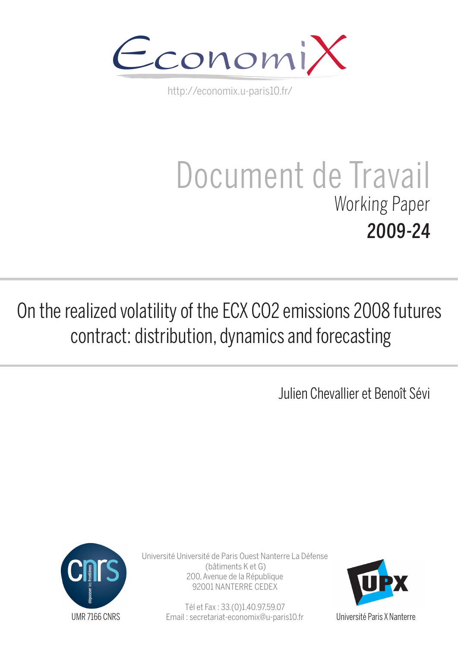

http://economix.u-paris10.fr/

# Document de Travail Working Paper 2009-24

## On the realized volatility of the ECX CO2 emissions 2008 futures contract: distribution, dynamics and forecasting

Julien Chevallier et Benoît Sévi



Université Université de Paris Ouest Nanterre La Défense (bâtiments K et G) 200, Avenue de la République 92001 NANTERRE CEDEX

> Tél et Fax : 33.(0)1.40.97.59.07 Email : secretariat-economix@u-paris10.fr



Université Paris X Nanterre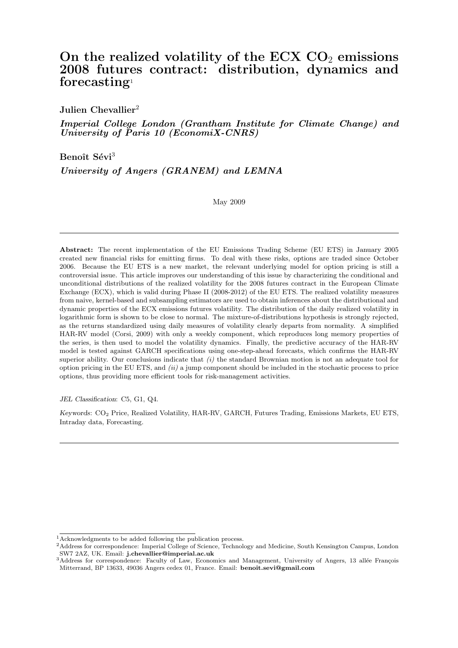## On the realized volatility of the ECX  $CO<sub>2</sub>$  emissions 2008 futures contract: distribution, dynamics and forecasting<sup>1</sup>

Julien Chevallier<sup>2</sup>

Imperial College London (Grantham Institute for Climate Change) and University of Paris 10 (EconomiX-CNRS)

Benoît Sévi<sup>3</sup>

University of Angers (GRANEM) and LEMNA

May 2009

Abstract: The recent implementation of the EU Emissions Trading Scheme (EU ETS) in January 2005 created new financial risks for emitting firms. To deal with these risks, options are traded since October 2006. Because the EU ETS is a new market, the relevant underlying model for option pricing is still a controversial issue. This article improves our understanding of this issue by characterizing the conditional and unconditional distributions of the realized volatility for the 2008 futures contract in the European Climate Exchange (ECX), which is valid during Phase II (2008-2012) of the EU ETS. The realized volatility measures from naive, kernel-based and subsampling estimators are used to obtain inferences about the distributional and dynamic properties of the ECX emissions futures volatility. The distribution of the daily realized volatility in logarithmic form is shown to be close to normal. The mixture-of-distributions hypothesis is strongly rejected, as the returns standardized using daily measures of volatility clearly departs from normality. A simplified HAR-RV model (Corsi, 2009) with only a weekly component, which reproduces long memory properties of the series, is then used to model the volatility dynamics. Finally, the predictive accuracy of the HAR-RV model is tested against GARCH specifications using one-step-ahead forecasts, which confirms the HAR-RV superior ability. Our conclusions indicate that  $(i)$  the standard Brownian motion is not an adequate tool for option pricing in the EU ETS, and  $(ii)$  a jump component should be included in the stochastic process to price options, thus providing more efficient tools for risk-management activities.

JEL Classification: C5, G1, Q4.

Keywords: CO<sup>2</sup> Price, Realized Volatility, HAR-RV, GARCH, Futures Trading, Emissions Markets, EU ETS, Intraday data, Forecasting.

 $^{\rm 1}$  Acknowledgments to be added following the publication process.

<sup>2</sup>Address for correspondence: Imperial College of Science, Technology and Medicine, South Kensington Campus, London SW7 2AZ, UK. Email: j.chevallier@imperial.ac.uk

<sup>&</sup>lt;sup>3</sup>Address for correspondence: Faculty of Law, Economics and Management, University of Angers, 13 allée François Mitterrand, BP 13633, 49036 Angers cedex 01, France. Email: benoit.sevi@gmail.com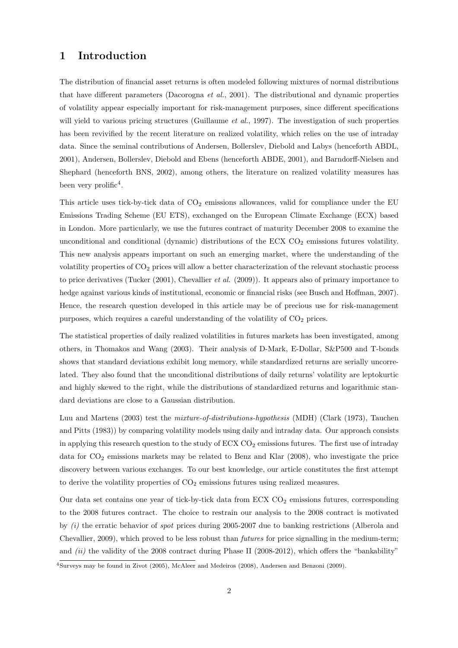## 1 Introduction

The distribution of financial asset returns is often modeled following mixtures of normal distributions that have different parameters (Dacorogna et al., 2001). The distributional and dynamic properties of volatility appear especially important for risk-management purposes, since different specifications will yield to various pricing structures (Guillaume *et al.*, 1997). The investigation of such properties has been revivified by the recent literature on realized volatility, which relies on the use of intraday data. Since the seminal contributions of Andersen, Bollerslev, Diebold and Labys (henceforth ABDL, 2001), Andersen, Bollerslev, Diebold and Ebens (henceforth ABDE, 2001), and Barndorff-Nielsen and Shephard (henceforth BNS, 2002), among others, the literature on realized volatility measures has been very prolific<sup>4</sup>.

This article uses tick-by-tick data of  $CO<sub>2</sub>$  emissions allowances, valid for compliance under the EU Emissions Trading Scheme (EU ETS), exchanged on the European Climate Exchange (ECX) based in London. More particularly, we use the futures contract of maturity December 2008 to examine the unconditional and conditional (dynamic) distributions of the ECX  $CO<sub>2</sub>$  emissions futures volatility. This new analysis appears important on such an emerging market, where the understanding of the volatility properties of  $CO<sub>2</sub>$  prices will allow a better characterization of the relevant stochastic process to price derivatives (Tucker  $(2001)$ , Chevallier *et al.*  $(2009)$ ). It appears also of primary importance to hedge against various kinds of institutional, economic or financial risks (see Busch and Hoffman, 2007). Hence, the research question developed in this article may be of precious use for risk-management purposes, which requires a careful understanding of the volatility of  $CO<sub>2</sub>$  prices.

The statistical properties of daily realized volatilities in futures markets has been investigated, among others, in Thomakos and Wang (2003). Their analysis of D-Mark, E-Dollar, S&P500 and T-bonds shows that standard deviations exhibit long memory, while standardized returns are serially uncorrelated. They also found that the unconditional distributions of daily returns' volatility are leptokurtic and highly skewed to the right, while the distributions of standardized returns and logarithmic standard deviations are close to a Gaussian distribution.

Luu and Martens (2003) test the mixture-of-distributions-hypothesis (MDH) (Clark (1973), Tauchen and Pitts (1983)) by comparing volatility models using daily and intraday data. Our approach consists in applying this research question to the study of  $ECX CO<sub>2</sub>$  emissions futures. The first use of intraday data for  $CO<sub>2</sub>$  emissions markets may be related to Benz and Klar (2008), who investigate the price discovery between various exchanges. To our best knowledge, our article constitutes the first attempt to derive the volatility properties of  $CO<sub>2</sub>$  emissions futures using realized measures.

Our data set contains one year of tick-by-tick data from ECX  $CO<sub>2</sub>$  emissions futures, corresponding to the 2008 futures contract. The choice to restrain our analysis to the 2008 contract is motivated by  $(i)$  the erratic behavior of spot prices during 2005-2007 due to banking restrictions (Alberola and Chevallier, 2009), which proved to be less robust than futures for price signalling in the medium-term; and  $(ii)$  the validity of the 2008 contract during Phase II (2008-2012), which offers the "bankability"

<sup>4</sup>Surveys may be found in Zivot (2005), McAleer and Medeiros (2008), Andersen and Benzoni (2009).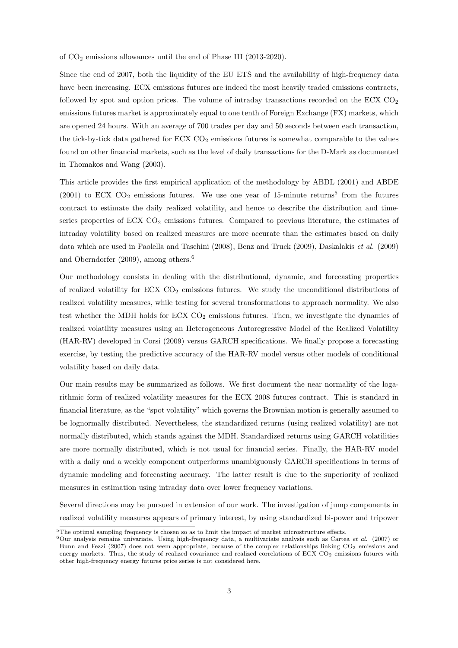of CO<sup>2</sup> emissions allowances until the end of Phase III (2013-2020).

Since the end of 2007, both the liquidity of the EU ETS and the availability of high-frequency data have been increasing. ECX emissions futures are indeed the most heavily traded emissions contracts, followed by spot and option prices. The volume of intraday transactions recorded on the ECX  $CO<sub>2</sub>$ emissions futures market is approximately equal to one tenth of Foreign Exchange (FX) markets, which are opened 24 hours. With an average of 700 trades per day and 50 seconds between each transaction, the tick-by-tick data gathered for ECX  $CO<sub>2</sub>$  emissions futures is somewhat comparable to the values found on other financial markets, such as the level of daily transactions for the D-Mark as documented in Thomakos and Wang (2003).

This article provides the first empirical application of the methodology by ABDL (2001) and ABDE  $(2001)$  to ECX CO<sub>2</sub> emissions futures. We use one year of 15-minute returns<sup>5</sup> from the futures contract to estimate the daily realized volatility, and hence to describe the distribution and timeseries properties of  $ECX CO<sub>2</sub>$  emissions futures. Compared to previous literature, the estimates of intraday volatility based on realized measures are more accurate than the estimates based on daily data which are used in Paolella and Taschini (2008), Benz and Truck (2009), Daskalakis et al. (2009) and Oberndorfer (2009), among others.<sup>6</sup>

Our methodology consists in dealing with the distributional, dynamic, and forecasting properties of realized volatility for  $ECX CO<sub>2</sub>$  emissions futures. We study the unconditional distributions of realized volatility measures, while testing for several transformations to approach normality. We also test whether the MDH holds for  $ECX CO<sub>2</sub>$  emissions futures. Then, we investigate the dynamics of realized volatility measures using an Heterogeneous Autoregressive Model of the Realized Volatility (HAR-RV) developed in Corsi (2009) versus GARCH specifications. We finally propose a forecasting exercise, by testing the predictive accuracy of the HAR-RV model versus other models of conditional volatility based on daily data.

Our main results may be summarized as follows. We first document the near normality of the logarithmic form of realized volatility measures for the ECX 2008 futures contract. This is standard in financial literature, as the "spot volatility" which governs the Brownian motion is generally assumed to be lognormally distributed. Nevertheless, the standardized returns (using realized volatility) are not normally distributed, which stands against the MDH. Standardized returns using GARCH volatilities are more normally distributed, which is not usual for financial series. Finally, the HAR-RV model with a daily and a weekly component outperforms unambiguously GARCH specifications in terms of dynamic modeling and forecasting accuracy. The latter result is due to the superiority of realized measures in estimation using intraday data over lower frequency variations.

Several directions may be pursued in extension of our work. The investigation of jump components in realized volatility measures appears of primary interest, by using standardized bi-power and tripower

 $5$ The optimal sampling frequency is chosen so as to limit the impact of market microstructure effects.

<sup>6</sup>Our analysis remains univariate. Using high-frequency data, a multivariate analysis such as Cartea *et al.* (2007) or Bunn and Fezzi (2007) does not seem appropriate, because of the complex relationships linking  $CO_2$  emissions and energy markets. Thus, the study of realized covariance and realized correlations of ECX  $CO<sub>2</sub>$  emissions futures with other high-frequency energy futures price series is not considered here.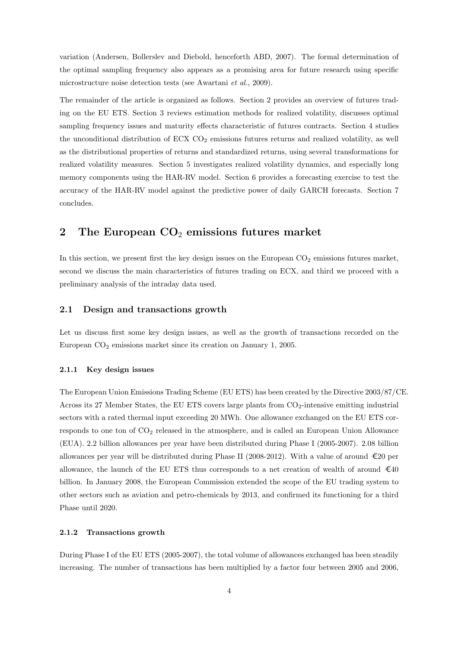variation (Andersen, Bollerslev and Diebold, henceforth ABD, 2007). The formal determination of the optimal sampling frequency also appears as a promising area for future research using specific microstructure noise detection tests (see Awartani et al., 2009).

The remainder of the article is organized as follows. Section 2 provides an overview of futures trading on the EU ETS. Section 3 reviews estimation methods for realized volatility, discusses optimal sampling frequency issues and maturity effects characteristic of futures contracts. Section 4 studies the unconditional distribution of  $ECX CO<sub>2</sub>$  emissions futures returns and realized volatility, as well as the distributional properties of returns and standardized returns, using several transformations for realized volatility measures. Section 5 investigates realized volatility dynamics, and especially long memory components using the HAR-RV model. Section 6 provides a forecasting exercise to test the accuracy of the HAR-RV model against the predictive power of daily GARCH forecasts. Section 7 concludes.

## 2 The European  $CO<sub>2</sub>$  emissions futures market

In this section, we present first the key design issues on the European  $CO<sub>2</sub>$  emissions futures market, second we discuss the main characteristics of futures trading on ECX, and third we proceed with a preliminary analysis of the intraday data used.

#### 2.1 Design and transactions growth

Let us discuss first some key design issues, as well as the growth of transactions recorded on the European CO<sup>2</sup> emissions market since its creation on January 1, 2005.

#### 2.1.1 Key design issues

The European Union Emissions Trading Scheme (EU ETS) has been created by the Directive 2003/87/CE. Across its 27 Member States, the EU ETS covers large plants from  $CO<sub>2</sub>$ -intensive emitting industrial sectors with a rated thermal input exceeding 20 MWh. One allowance exchanged on the EU ETS corresponds to one ton of  $CO<sub>2</sub>$  released in the atmosphere, and is called an European Union Allowance (EUA). 2.2 billion allowances per year have been distributed during Phase I (2005-2007). 2.08 billion allowances per year will be distributed during Phase II (2008-2012). With a value of around  $\epsilon$ 20 per allowance, the launch of the EU ETS thus corresponds to a net creation of wealth of around  $\text{\textsterling}40$ billion. In January 2008, the European Commission extended the scope of the EU trading system to other sectors such as aviation and petro-chemicals by 2013, and confirmed its functioning for a third Phase until 2020.

#### 2.1.2 Transactions growth

During Phase I of the EU ETS (2005-2007), the total volume of allowances exchanged has been steadily increasing. The number of transactions has been multiplied by a factor four between 2005 and 2006,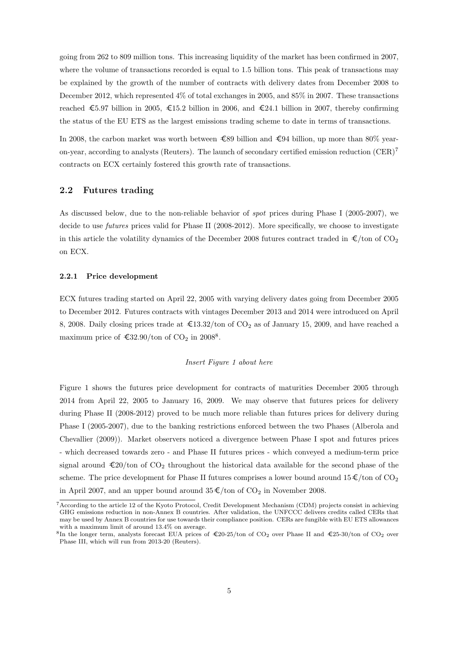going from 262 to 809 million tons. This increasing liquidity of the market has been confirmed in 2007, where the volume of transactions recorded is equal to 1.5 billion tons. This peak of transactions may be explained by the growth of the number of contracts with delivery dates from December 2008 to December 2012, which represented 4% of total exchanges in 2005, and 85% in 2007. These transactions reached  $\epsilon$ 5.97 billion in 2005,  $\epsilon$ 15.2 billion in 2006, and  $\epsilon$ 24.1 billion in 2007, thereby confirming the status of the EU ETS as the largest emissions trading scheme to date in terms of transactions.

In 2008, the carbon market was worth between  $\epsilon$ 89 billion and  $\epsilon$ 94 billion, up more than 80% yearon-year, according to analysts (Reuters). The launch of secondary certified emission reduction  $(CER)^7$ contracts on ECX certainly fostered this growth rate of transactions.

#### 2.2 Futures trading

As discussed below, due to the non-reliable behavior of spot prices during Phase I (2005-2007), we decide to use *futures* prices valid for Phase II (2008-2012). More specifically, we choose to investigate in this article the volatility dynamics of the December 2008 futures contract traded in  $\epsilon$ /ton of CO<sub>2</sub> on ECX.

#### 2.2.1 Price development

ECX futures trading started on April 22, 2005 with varying delivery dates going from December 2005 to December 2012. Futures contracts with vintages December 2013 and 2014 were introduced on April 8, 2008. Daily closing prices trade at  $\text{\textsterling}13.32/\text{ton}$  of CO<sub>2</sub> as of January 15, 2009, and have reached a maximum price of  $\text{\textsterling}32.90/\text{ton}$  of CO<sub>2</sub> in 2008<sup>8</sup>.

#### Insert Figure 1 about here

Figure 1 shows the futures price development for contracts of maturities December 2005 through 2014 from April 22, 2005 to January 16, 2009. We may observe that futures prices for delivery during Phase II (2008-2012) proved to be much more reliable than futures prices for delivery during Phase I (2005-2007), due to the banking restrictions enforced between the two Phases (Alberola and Chevallier (2009)). Market observers noticed a divergence between Phase I spot and futures prices - which decreased towards zero - and Phase II futures prices - which conveyed a medium-term price signal around  $\epsilon_{20}/\text{ton}$  of  $\text{CO}_2$  throughout the historical data available for the second phase of the scheme. The price development for Phase II futures comprises a lower bound around  $15 \in \text{\textbackslash}$  for  $\text{CO}_2$ in April 2007, and an upper bound around  $35 \cdot \text{\textsterling}/\text{ton}$  of  $CO_2$  in November 2008.

<sup>7</sup>According to the article 12 of the Kyoto Protocol, Credit Development Mechanism (CDM) projects consist in achieving GHG emissions reduction in non-Annex B countries. After validation, the UNFCCC delivers credits called CERs that may be used by Annex B countries for use towards their compliance position. CERs are fungible with EU ETS allowances with a maximum limit of around 13.4% on average.

<sup>&</sup>lt;sup>8</sup>In the longer term, analysts forecast EUA prices of €20-25/ton of CO<sub>2</sub> over Phase II and €25-30/ton of CO<sub>2</sub> over Phase III, which will run from 2013-20 (Reuters).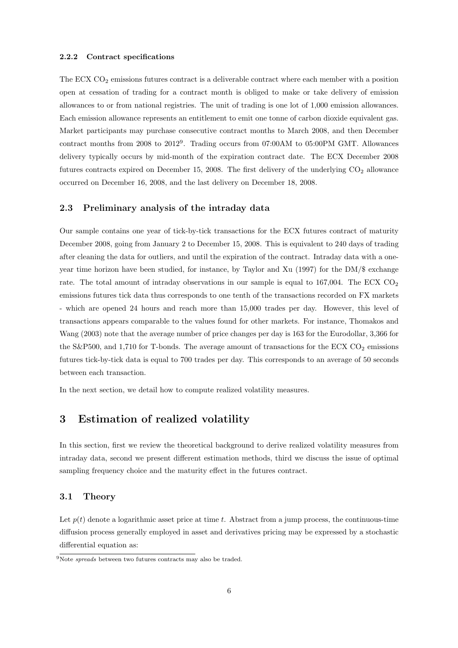#### 2.2.2 Contract specifications

The ECX  $CO<sub>2</sub>$  emissions futures contract is a deliverable contract where each member with a position open at cessation of trading for a contract month is obliged to make or take delivery of emission allowances to or from national registries. The unit of trading is one lot of 1,000 emission allowances. Each emission allowance represents an entitlement to emit one tonne of carbon dioxide equivalent gas. Market participants may purchase consecutive contract months to March 2008, and then December contract months from 2008 to 2012<sup>9</sup> . Trading occurs from 07:00AM to 05:00PM GMT. Allowances delivery typically occurs by mid-month of the expiration contract date. The ECX December 2008 futures contracts expired on December 15, 2008. The first delivery of the underlying  $CO<sub>2</sub>$  allowance occurred on December 16, 2008, and the last delivery on December 18, 2008.

## 2.3 Preliminary analysis of the intraday data

Our sample contains one year of tick-by-tick transactions for the ECX futures contract of maturity December 2008, going from January 2 to December 15, 2008. This is equivalent to 240 days of trading after cleaning the data for outliers, and until the expiration of the contract. Intraday data with a oneyear time horizon have been studied, for instance, by Taylor and Xu (1997) for the DM/\$ exchange rate. The total amount of intraday observations in our sample is equal to  $167,004$ . The ECX CO<sub>2</sub> emissions futures tick data thus corresponds to one tenth of the transactions recorded on FX markets - which are opened 24 hours and reach more than 15,000 trades per day. However, this level of transactions appears comparable to the values found for other markets. For instance, Thomakos and Wang (2003) note that the average number of price changes per day is 163 for the Eurodollar, 3,366 for the S&P500, and 1,710 for T-bonds. The average amount of transactions for the ECX  $CO_2$  emissions futures tick-by-tick data is equal to 700 trades per day. This corresponds to an average of 50 seconds between each transaction.

In the next section, we detail how to compute realized volatility measures.

## 3 Estimation of realized volatility

In this section, first we review the theoretical background to derive realized volatility measures from intraday data, second we present different estimation methods, third we discuss the issue of optimal sampling frequency choice and the maturity effect in the futures contract.

#### 3.1 Theory

Let  $p(t)$  denote a logarithmic asset price at time t. Abstract from a jump process, the continuous-time diffusion process generally employed in asset and derivatives pricing may be expressed by a stochastic differential equation as:

<sup>9</sup>Note *spreads* between two futures contracts may also be traded.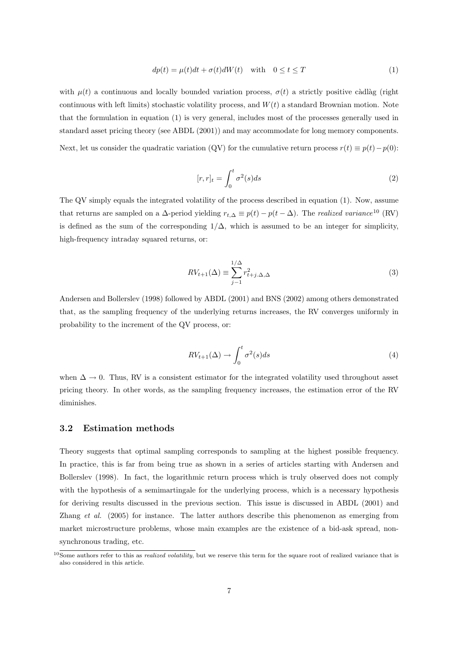$$
dp(t) = \mu(t)dt + \sigma(t)dW(t) \quad \text{with} \quad 0 \le t \le T \tag{1}
$$

with  $\mu(t)$  a continuous and locally bounded variation process,  $\sigma(t)$  a strictly positive càdlàg (right continuous with left limits) stochastic volatility process, and  $W(t)$  a standard Brownian motion. Note that the formulation in equation (1) is very general, includes most of the processes generally used in standard asset pricing theory (see ABDL (2001)) and may accommodate for long memory components. Next, let us consider the quadratic variation (QV) for the cumulative return process  $r(t) \equiv p(t) - p(0)$ :

$$
[r,r]_t = \int_0^t \sigma^2(s)ds\tag{2}
$$

The QV simply equals the integrated volatility of the process described in equation (1). Now, assume that returns are sampled on a  $\Delta$ -period yielding  $r_{t,\Delta} \equiv p(t) - p(t - \Delta)$ . The *realized variance*<sup>10</sup> (RV) is defined as the sum of the corresponding  $1/\Delta$ , which is assumed to be an integer for simplicity, high-frequency intraday squared returns, or:

$$
RV_{t+1}(\Delta) \equiv \sum_{j-1}^{1/\Delta} r_{t+j,\Delta,\Delta}^2
$$
\n(3)

Andersen and Bollerslev (1998) followed by ABDL (2001) and BNS (2002) among others demonstrated that, as the sampling frequency of the underlying returns increases, the RV converges uniformly in probability to the increment of the QV process, or:

$$
RV_{t+1}(\Delta) \to \int_0^t \sigma^2(s)ds
$$
\n(4)

when  $\Delta \to 0$ . Thus, RV is a consistent estimator for the integrated volatility used throughout asset pricing theory. In other words, as the sampling frequency increases, the estimation error of the RV diminishes.

#### 3.2 Estimation methods

Theory suggests that optimal sampling corresponds to sampling at the highest possible frequency. In practice, this is far from being true as shown in a series of articles starting with Andersen and Bollerslev (1998). In fact, the logarithmic return process which is truly observed does not comply with the hypothesis of a semimartingale for the underlying process, which is a necessary hypothesis for deriving results discussed in the previous section. This issue is discussed in ABDL (2001) and Zhang et al. (2005) for instance. The latter authors describe this phenomenon as emerging from market microstructure problems, whose main examples are the existence of a bid-ask spread, nonsynchronous trading, etc.

<sup>&</sup>lt;sup>10</sup>Some authors refer to this as *realized volatility*, but we reserve this term for the square root of realized variance that is also considered in this article.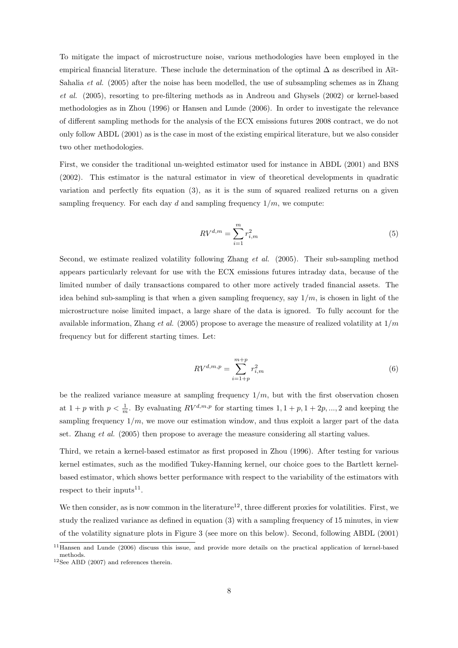To mitigate the impact of microstructure noise, various methodologies have been employed in the empirical financial literature. These include the determination of the optimal  $\Delta$  as described in Aït-Sahalia *et al.* (2005) after the noise has been modelled, the use of subsampling schemes as in Zhang et al. (2005), resorting to pre-filtering methods as in Andreou and Ghysels (2002) or kernel-based methodologies as in Zhou (1996) or Hansen and Lunde (2006). In order to investigate the relevance of different sampling methods for the analysis of the ECX emissions futures 2008 contract, we do not only follow ABDL (2001) as is the case in most of the existing empirical literature, but we also consider two other methodologies.

First, we consider the traditional un-weighted estimator used for instance in ABDL (2001) and BNS (2002). This estimator is the natural estimator in view of theoretical developments in quadratic variation and perfectly fits equation (3), as it is the sum of squared realized returns on a given sampling frequency. For each day d and sampling frequency  $1/m$ , we compute:

$$
RV^{d,m} = \sum_{i=1}^{m} r_{i,m}^2
$$
 (5)

Second, we estimate realized volatility following Zhang *et al.* (2005). Their sub-sampling method appears particularly relevant for use with the ECX emissions futures intraday data, because of the limited number of daily transactions compared to other more actively traded financial assets. The idea behind sub-sampling is that when a given sampling frequency, say  $1/m$ , is chosen in light of the microstructure noise limited impact, a large share of the data is ignored. To fully account for the available information, Zhang et al. (2005) propose to average the measure of realized volatility at  $1/m$ frequency but for different starting times. Let:

$$
RV^{d,m,p} = \sum_{i=1+p}^{m+p} r_{i,m}^2
$$
 (6)

be the realized variance measure at sampling frequency  $1/m$ , but with the first observation chosen at  $1+p$  with  $p < \frac{1}{m}$ . By evaluating  $RV^{d,m,p}$  for starting times  $1, 1+p, 1+2p, ..., 2$  and keeping the sampling frequency  $1/m$ , we move our estimation window, and thus exploit a larger part of the data set. Zhang *et al.* (2005) then propose to average the measure considering all starting values.

Third, we retain a kernel-based estimator as first proposed in Zhou (1996). After testing for various kernel estimates, such as the modified Tukey-Hanning kernel, our choice goes to the Bartlett kernelbased estimator, which shows better performance with respect to the variability of the estimators with respect to their inputs<sup>11</sup>.

We then consider, as is now common in the literature<sup>12</sup>, three different proxies for volatilities. First, we study the realized variance as defined in equation (3) with a sampling frequency of 15 minutes, in view of the volatility signature plots in Figure 3 (see more on this below). Second, following ABDL (2001)

 $11$ Hansen and Lunde (2006) discuss this issue, and provide more details on the practical application of kernel-based methods.

<sup>12</sup>See ABD (2007) and references therein.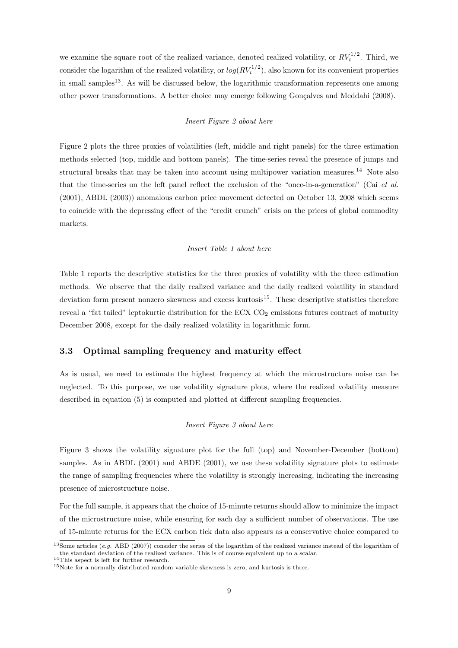we examine the square root of the realized variance, denoted realized volatility, or  $RV_t^{1/2}$ . Third, we consider the logarithm of the realized volatility, or  $log(RV_t^{1/2})$ , also known for its convenient properties in small samples<sup>13</sup>. As will be discussed below, the logarithmic transformation represents one among other power transformations. A better choice may emerge following Gonçalves and Meddahi (2008).

#### Insert Figure 2 about here

Figure 2 plots the three proxies of volatilities (left, middle and right panels) for the three estimation methods selected (top, middle and bottom panels). The time-series reveal the presence of jumps and structural breaks that may be taken into account using multipower variation measures.<sup>14</sup> Note also that the time-series on the left panel reflect the exclusion of the "once-in-a-generation" (Cai et al. (2001), ABDL (2003)) anomalous carbon price movement detected on October 13, 2008 which seems to coincide with the depressing effect of the "credit crunch" crisis on the prices of global commodity markets.

#### Insert Table 1 about here

Table 1 reports the descriptive statistics for the three proxies of volatility with the three estimation methods. We observe that the daily realized variance and the daily realized volatility in standard deviation form present nonzero skewness and excess kurtosis<sup>15</sup>. These descriptive statistics therefore reveal a "fat tailed" leptokurtic distribution for the ECX  $CO<sub>2</sub>$  emissions futures contract of maturity December 2008, except for the daily realized volatility in logarithmic form.

#### 3.3 Optimal sampling frequency and maturity effect

As is usual, we need to estimate the highest frequency at which the microstructure noise can be neglected. To this purpose, we use volatility signature plots, where the realized volatility measure described in equation (5) is computed and plotted at different sampling frequencies.

#### Insert Figure 3 about here

Figure 3 shows the volatility signature plot for the full (top) and November-December (bottom) samples. As in ABDL (2001) and ABDE (2001), we use these volatility signature plots to estimate the range of sampling frequencies where the volatility is strongly increasing, indicating the increasing presence of microstructure noise.

For the full sample, it appears that the choice of 15-minute returns should allow to minimize the impact of the microstructure noise, while ensuring for each day a sufficient number of observations. The use of 15-minute returns for the ECX carbon tick data also appears as a conservative choice compared to

<sup>&</sup>lt;sup>13</sup>Some articles (*e.g.* ABD (2007)) consider the series of the logarithm of the realized variance instead of the logarithm of the standard deviation of the realized variance. This is of course equivalent up to a scalar.

 $\rm ^{14}This$  aspect is left for further research.

<sup>15</sup>Note for a normally distributed random variable skewness is zero, and kurtosis is three.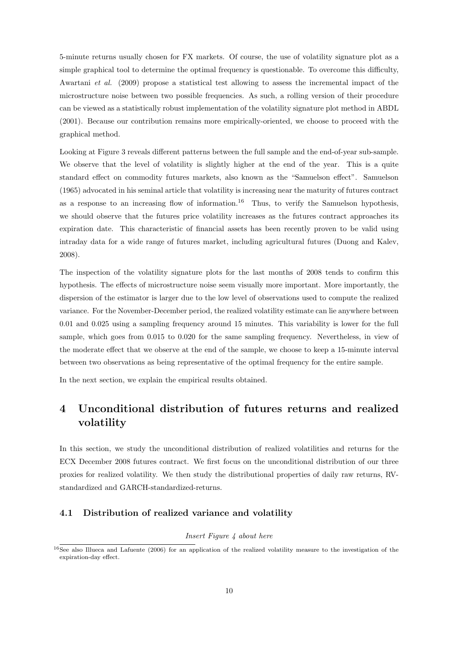5-minute returns usually chosen for FX markets. Of course, the use of volatility signature plot as a simple graphical tool to determine the optimal frequency is questionable. To overcome this difficulty, Awartani et al. (2009) propose a statistical test allowing to assess the incremental impact of the microstructure noise between two possible frequencies. As such, a rolling version of their procedure can be viewed as a statistically robust implementation of the volatility signature plot method in ABDL (2001). Because our contribution remains more empirically-oriented, we choose to proceed with the graphical method.

Looking at Figure 3 reveals different patterns between the full sample and the end-of-year sub-sample. We observe that the level of volatility is slightly higher at the end of the year. This is a quite standard effect on commodity futures markets, also known as the "Samuelson effect". Samuelson (1965) advocated in his seminal article that volatility is increasing near the maturity of futures contract as a response to an increasing flow of information.<sup>16</sup> Thus, to verify the Samuelson hypothesis, we should observe that the futures price volatility increases as the futures contract approaches its expiration date. This characteristic of financial assets has been recently proven to be valid using intraday data for a wide range of futures market, including agricultural futures (Duong and Kalev, 2008).

The inspection of the volatility signature plots for the last months of 2008 tends to confirm this hypothesis. The effects of microstructure noise seem visually more important. More importantly, the dispersion of the estimator is larger due to the low level of observations used to compute the realized variance. For the November-December period, the realized volatility estimate can lie anywhere between 0.01 and 0.025 using a sampling frequency around 15 minutes. This variability is lower for the full sample, which goes from 0.015 to 0.020 for the same sampling frequency. Nevertheless, in view of the moderate effect that we observe at the end of the sample, we choose to keep a 15-minute interval between two observations as being representative of the optimal frequency for the entire sample.

In the next section, we explain the empirical results obtained.

## 4 Unconditional distribution of futures returns and realized volatility

In this section, we study the unconditional distribution of realized volatilities and returns for the ECX December 2008 futures contract. We first focus on the unconditional distribution of our three proxies for realized volatility. We then study the distributional properties of daily raw returns, RVstandardized and GARCH-standardized-returns.

## 4.1 Distribution of realized variance and volatility

#### Insert Figure 4 about here

<sup>16</sup>See also Illueca and Lafuente (2006) for an application of the realized volatility measure to the investigation of the expiration-day effect.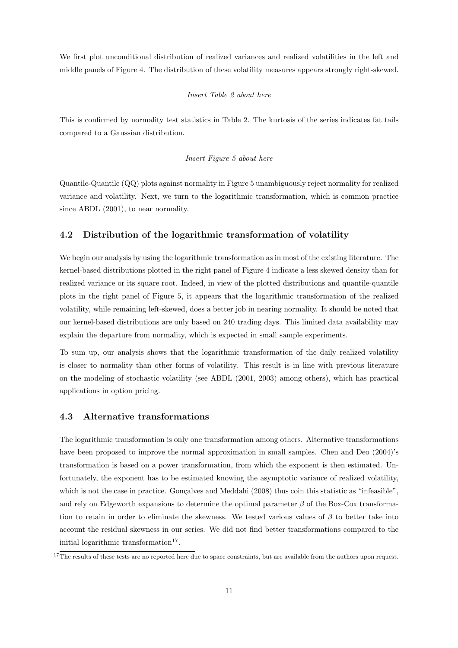We first plot unconditional distribution of realized variances and realized volatilities in the left and middle panels of Figure 4. The distribution of these volatility measures appears strongly right-skewed.

#### Insert Table 2 about here

This is confirmed by normality test statistics in Table 2. The kurtosis of the series indicates fat tails compared to a Gaussian distribution.

#### Insert Figure 5 about here

Quantile-Quantile (QQ) plots against normality in Figure 5 unambiguously reject normality for realized variance and volatility. Next, we turn to the logarithmic transformation, which is common practice since ABDL (2001), to near normality.

## 4.2 Distribution of the logarithmic transformation of volatility

We begin our analysis by using the logarithmic transformation as in most of the existing literature. The kernel-based distributions plotted in the right panel of Figure 4 indicate a less skewed density than for realized variance or its square root. Indeed, in view of the plotted distributions and quantile-quantile plots in the right panel of Figure 5, it appears that the logarithmic transformation of the realized volatility, while remaining left-skewed, does a better job in nearing normality. It should be noted that our kernel-based distributions are only based on 240 trading days. This limited data availability may explain the departure from normality, which is expected in small sample experiments.

To sum up, our analysis shows that the logarithmic transformation of the daily realized volatility is closer to normality than other forms of volatility. This result is in line with previous literature on the modeling of stochastic volatility (see ABDL (2001, 2003) among others), which has practical applications in option pricing.

#### 4.3 Alternative transformations

The logarithmic transformation is only one transformation among others. Alternative transformations have been proposed to improve the normal approximation in small samples. Chen and Deo (2004)'s transformation is based on a power transformation, from which the exponent is then estimated. Unfortunately, the exponent has to be estimated knowing the asymptotic variance of realized volatility, which is not the case in practice. Gonçalves and Meddahi (2008) thus coin this statistic as "infeasible", and rely on Edgeworth expansions to determine the optimal parameter  $\beta$  of the Box-Cox transformation to retain in order to eliminate the skewness. We tested various values of  $\beta$  to better take into account the residual skewness in our series. We did not find better transformations compared to the initial logarithmic transformation<sup>17</sup>.

 $17$ The results of these tests are no reported here due to space constraints, but are available from the authors upon request.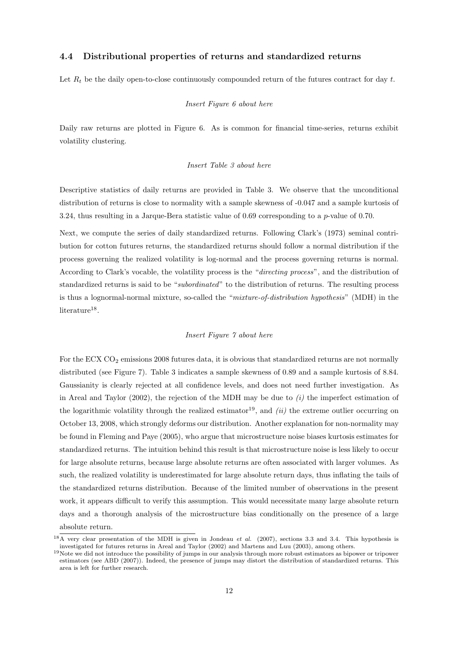#### 4.4 Distributional properties of returns and standardized returns

Let  $R_t$  be the daily open-to-close continuously compounded return of the futures contract for day t.

#### Insert Figure 6 about here

Daily raw returns are plotted in Figure 6. As is common for financial time-series, returns exhibit volatility clustering.

#### Insert Table 3 about here

Descriptive statistics of daily returns are provided in Table 3. We observe that the unconditional distribution of returns is close to normality with a sample skewness of -0.047 and a sample kurtosis of 3.24, thus resulting in a Jarque-Bera statistic value of 0.69 corresponding to a p-value of 0.70.

Next, we compute the series of daily standardized returns. Following Clark's (1973) seminal contribution for cotton futures returns, the standardized returns should follow a normal distribution if the process governing the realized volatility is log-normal and the process governing returns is normal. According to Clark's vocable, the volatility process is the "directing process", and the distribution of standardized returns is said to be "subordinated" to the distribution of returns. The resulting process is thus a lognormal-normal mixture, so-called the "mixture-of-distribution hypothesis" (MDH) in the  $\rm{literature}^{18}$ .

#### Insert Figure 7 about here

For the ECX  $CO<sub>2</sub>$  emissions 2008 futures data, it is obvious that standardized returns are not normally distributed (see Figure 7). Table 3 indicates a sample skewness of 0.89 and a sample kurtosis of 8.84. Gaussianity is clearly rejected at all confidence levels, and does not need further investigation. As in Areal and Taylor (2002), the rejection of the MDH may be due to  $(i)$  the imperfect estimation of the logarithmic volatility through the realized estimator<sup>19</sup>, and *(ii)* the extreme outlier occurring on October 13, 2008, which strongly deforms our distribution. Another explanation for non-normality may be found in Fleming and Paye (2005), who argue that microstructure noise biases kurtosis estimates for standardized returns. The intuition behind this result is that microstructure noise is less likely to occur for large absolute returns, because large absolute returns are often associated with larger volumes. As such, the realized volatility is underestimated for large absolute return days, thus inflating the tails of the standardized returns distribution. Because of the limited number of observations in the present work, it appears difficult to verify this assumption. This would necessitate many large absolute return days and a thorough analysis of the microstructure bias conditionally on the presence of a large absolute return.

<sup>18</sup>A very clear presentation of the MDH is given in Jondeau *et al.* (2007), sections 3.3 and 3.4. This hypothesis is investigated for futures returns in Areal and Taylor (2002) and Martens and Luu (2003), among others.

 $19$ Note we did not introduce the possibility of jumps in our analysis through more robust estimators as bipower or tripower estimators (see ABD (2007)). Indeed, the presence of jumps may distort the distribution of standardized returns. This area is left for further research.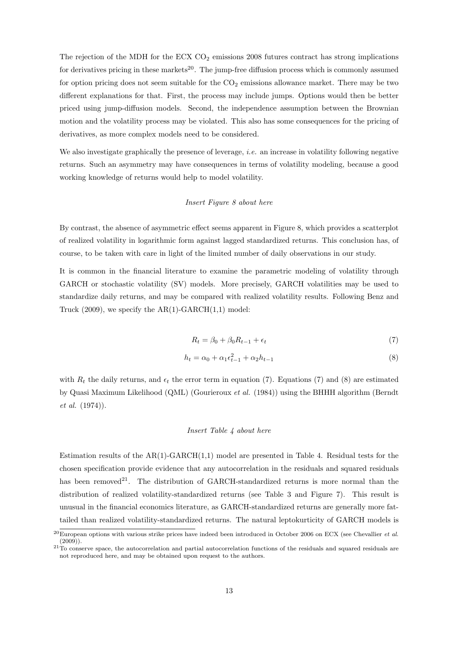The rejection of the MDH for the ECX  $CO<sub>2</sub>$  emissions 2008 futures contract has strong implications for derivatives pricing in these markets<sup>20</sup>. The jump-free diffusion process which is commonly assumed for option pricing does not seem suitable for the  $CO<sub>2</sub>$  emissions allowance market. There may be two different explanations for that. First, the process may include jumps. Options would then be better priced using jump-diffusion models. Second, the independence assumption between the Brownian motion and the volatility process may be violated. This also has some consequences for the pricing of derivatives, as more complex models need to be considered.

We also investigate graphically the presence of leverage, *i.e.* an increase in volatility following negative returns. Such an asymmetry may have consequences in terms of volatility modeling, because a good working knowledge of returns would help to model volatility.

#### Insert Figure 8 about here

By contrast, the absence of asymmetric effect seems apparent in Figure 8, which provides a scatterplot of realized volatility in logarithmic form against lagged standardized returns. This conclusion has, of course, to be taken with care in light of the limited number of daily observations in our study.

It is common in the financial literature to examine the parametric modeling of volatility through GARCH or stochastic volatility (SV) models. More precisely, GARCH volatilities may be used to standardize daily returns, and may be compared with realized volatility results. Following Benz and Truck  $(2009)$ , we specify the AR(1)-GARCH $(1,1)$  model:

$$
R_t = \beta_0 + \beta_0 R_{t-1} + \epsilon_t \tag{7}
$$

$$
h_t = \alpha_0 + \alpha_1 \epsilon_{t-1}^2 + \alpha_2 h_{t-1}
$$
\n(8)

with  $R_t$  the daily returns, and  $\epsilon_t$  the error term in equation (7). Equations (7) and (8) are estimated by Quasi Maximum Likelihood (QML) (Gourieroux et al. (1984)) using the BHHH algorithm (Berndt et al. (1974)).

#### Insert Table 4 about here

Estimation results of the  $AR(1)-GARCH(1,1)$  model are presented in Table 4. Residual tests for the chosen specification provide evidence that any autocorrelation in the residuals and squared residuals has been removed<sup>21</sup>. The distribution of GARCH-standardized returns is more normal than the distribution of realized volatility-standardized returns (see Table 3 and Figure 7). This result is unusual in the financial economics literature, as GARCH-standardized returns are generally more fattailed than realized volatility-standardized returns. The natural leptokurticity of GARCH models is

<sup>20</sup>European options with various strike prices have indeed been introduced in October 2006 on ECX (see Chevallier *et al.* (2009)).

 $21$ To conserve space, the autocorrelation and partial autocorrelation functions of the residuals and squared residuals are not reproduced here, and may be obtained upon request to the authors.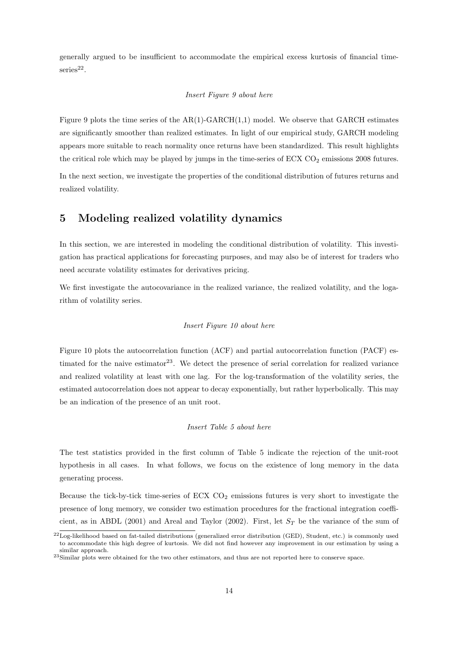generally argued to be insufficient to accommodate the empirical excess kurtosis of financial time $s$ eries<sup>22</sup>.

#### Insert Figure 9 about here

Figure 9 plots the time series of the  $AR(1)$ -GARCH $(1,1)$  model. We observe that GARCH estimates are significantly smoother than realized estimates. In light of our empirical study, GARCH modeling appears more suitable to reach normality once returns have been standardized. This result highlights the critical role which may be played by jumps in the time-series of  $ECX$   $CO<sub>2</sub>$  emissions 2008 futures.

In the next section, we investigate the properties of the conditional distribution of futures returns and realized volatility.

## 5 Modeling realized volatility dynamics

In this section, we are interested in modeling the conditional distribution of volatility. This investigation has practical applications for forecasting purposes, and may also be of interest for traders who need accurate volatility estimates for derivatives pricing.

We first investigate the autocovariance in the realized variance, the realized volatility, and the logarithm of volatility series.

#### Insert Figure 10 about here

Figure 10 plots the autocorrelation function (ACF) and partial autocorrelation function (PACF) estimated for the naive estimator<sup>23</sup>. We detect the presence of serial correlation for realized variance and realized volatility at least with one lag. For the log-transformation of the volatility series, the estimated autocorrelation does not appear to decay exponentially, but rather hyperbolically. This may be an indication of the presence of an unit root.

#### Insert Table 5 about here

The test statistics provided in the first column of Table 5 indicate the rejection of the unit-root hypothesis in all cases. In what follows, we focus on the existence of long memory in the data generating process.

Because the tick-by-tick time-series of ECX  $CO<sub>2</sub>$  emissions futures is very short to investigate the presence of long memory, we consider two estimation procedures for the fractional integration coefficient, as in ABDL (2001) and Areal and Taylor (2002). First, let  $S_T$  be the variance of the sum of

 $^{22}$ Log-likelihood based on fat-tailed distributions (generalized error distribution (GED), Student, etc.) is commonly used to accommodate this high degree of kurtosis. We did not find however any improvement in our estimation by using a similar approach.

<sup>23</sup>Similar plots were obtained for the two other estimators, and thus are not reported here to conserve space.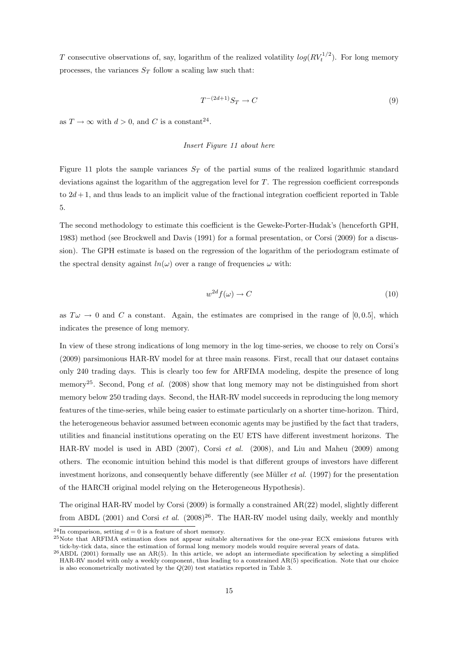T consecutive observations of, say, logarithm of the realized volatility  $log(RV_t^{1/2})$ . For long memory processes, the variances  $S_T$  follow a scaling law such that:

$$
T^{-(2d+1)}S_T \to C \tag{9}
$$

as  $T \to \infty$  with  $d > 0$ , and C is a constant<sup>24</sup>.

#### Insert Figure 11 about here

Figure 11 plots the sample variances  $S_T$  of the partial sums of the realized logarithmic standard deviations against the logarithm of the aggregation level for T. The regression coefficient corresponds to  $2d+1$ , and thus leads to an implicit value of the fractional integration coefficient reported in Table 5.

The second methodology to estimate this coefficient is the Geweke-Porter-Hudak's (henceforth GPH, 1983) method (see Brockwell and Davis (1991) for a formal presentation, or Corsi (2009) for a discussion). The GPH estimate is based on the regression of the logarithm of the periodogram estimate of the spectral density against  $ln(\omega)$  over a range of frequencies  $\omega$  with:

$$
w^{2d} f(\omega) \to C \tag{10}
$$

as  $T\omega \to 0$  and C a constant. Again, the estimates are comprised in the range of [0,0.5], which indicates the presence of long memory.

In view of these strong indications of long memory in the log time-series, we choose to rely on Corsi's (2009) parsimonious HAR-RV model for at three main reasons. First, recall that our dataset contains only 240 trading days. This is clearly too few for ARFIMA modeling, despite the presence of long memory<sup>25</sup>. Second, Pong et al. (2008) show that long memory may not be distinguished from short memory below 250 trading days. Second, the HAR-RV model succeeds in reproducing the long memory features of the time-series, while being easier to estimate particularly on a shorter time-horizon. Third, the heterogeneous behavior assumed between economic agents may be justified by the fact that traders, utilities and financial institutions operating on the EU ETS have different investment horizons. The HAR-RV model is used in ABD (2007), Corsi et al. (2008), and Liu and Maheu (2009) among others. The economic intuition behind this model is that different groups of investors have different investment horizons, and consequently behave differently (see Müller *et al.* (1997) for the presentation of the HARCH original model relying on the Heterogeneous Hypothesis).

The original HAR-RV model by Corsi (2009) is formally a constrained AR(22) model, slightly different from ABDL (2001) and Corsi et al.  $(2008)^{26}$ . The HAR-RV model using daily, weekly and monthly

<sup>&</sup>lt;sup>24</sup>In comparison, setting  $d = 0$  is a feature of short memory.

<sup>25</sup>Note that ARFIMA estimation does not appear suitable alternatives for the one-year ECX emissions futures with tick-by-tick data, since the estimation of formal long memory models would require several years of data.

 $^{26}$ ABDL (2001) formally use an AR(5). In this article, we adopt an intermediate specification by selecting a simplified HAR-RV model with only a weekly component, thus leading to a constrained AR(5) specification. Note that our choice is also econometrically motivated by the  $Q(20)$  test statistics reported in Table 3.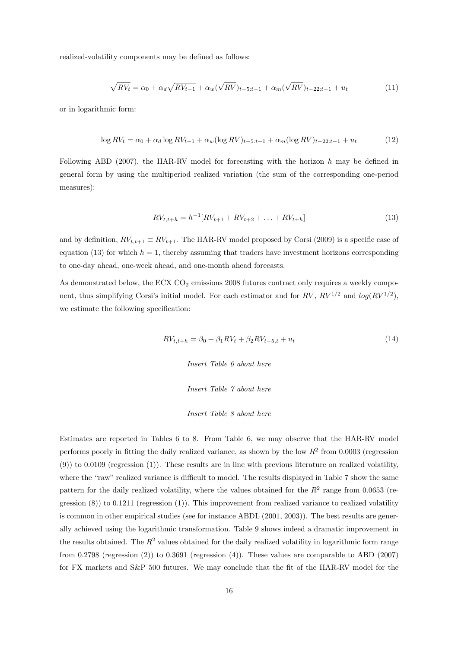realized-volatility components may be defined as follows:

$$
\sqrt{RV_t} = \alpha_0 + \alpha_d \sqrt{RV_{t-1}} + \alpha_w (\sqrt{RV})_{t-5:t-1} + \alpha_m (\sqrt{RV})_{t-22:t-1} + u_t
$$
\n(11)

or in logarithmic form:

$$
\log RV_t = \alpha_0 + \alpha_d \log RV_{t-1} + \alpha_w (\log RV)_{t-5:t-1} + \alpha_m (\log RV)_{t-22:t-1} + u_t \tag{12}
$$

Following ABD (2007), the HAR-RV model for forecasting with the horizon  $h$  may be defined in general form by using the multiperiod realized variation (the sum of the corresponding one-period measures):

$$
RV_{t,t+h} = h^{-1}[RV_{t+1} + RV_{t+2} + \dots + RV_{t+h}]
$$
\n(13)

and by definition,  $RV_{t,t+1} \equiv RV_{t+1}$ . The HAR-RV model proposed by Corsi (2009) is a specific case of equation (13) for which  $h = 1$ , thereby assuming that traders have investment horizons corresponding to one-day ahead, one-week ahead, and one-month ahead forecasts.

As demonstrated below, the ECX  $CO<sub>2</sub>$  emissions 2008 futures contract only requires a weekly component, thus simplifying Corsi's initial model. For each estimator and for  $RV$ ,  $RV^{1/2}$  and  $log(RV^{1/2})$ , we estimate the following specification:

$$
RV_{t,t+h} = \beta_0 + \beta_1 RV_t + \beta_2 RV_{t-5,t} + u_t \tag{14}
$$

Insert Table 6 about here

Insert Table 7 about here

Insert Table 8 about here

Estimates are reported in Tables 6 to 8. From Table 6, we may observe that the HAR-RV model performs poorly in fitting the daily realized variance, as shown by the low  $R^2$  from 0.0003 (regression (9)) to 0.0109 (regression (1)). These results are in line with previous literature on realized volatility, where the "raw" realized variance is difficult to model. The results displayed in Table 7 show the same pattern for the daily realized volatility, where the values obtained for the  $R^2$  range from 0.0653 (regression  $(8)$ ) to 0.1211 (regression  $(1)$ ). This improvement from realized variance to realized volatility is common in other empirical studies (see for instance ABDL (2001, 2003)). The best results are generally achieved using the logarithmic transformation. Table 9 shows indeed a dramatic improvement in the results obtained. The  $R^2$  values obtained for the daily realized volatility in logarithmic form range from 0.2798 (regression (2)) to 0.3691 (regression (4)). These values are comparable to ABD (2007) for FX markets and S&P 500 futures. We may conclude that the fit of the HAR-RV model for the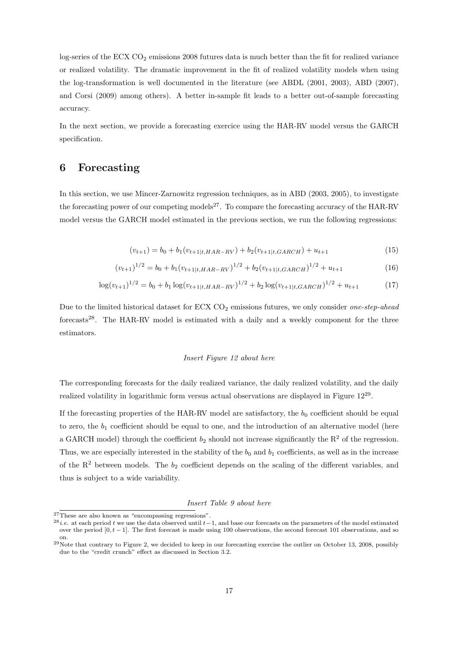log-series of the ECX CO<sub>2</sub> emissions 2008 futures data is much better than the fit for realized variance or realized volatility. The dramatic improvement in the fit of realized volatility models when using the log-transformation is well documented in the literature (see ABDL (2001, 2003), ABD (2007), and Corsi (2009) among others). A better in-sample fit leads to a better out-of-sample forecasting accuracy.

In the next section, we provide a forecasting exercice using the HAR-RV model versus the GARCH specification.

## 6 Forecasting

In this section, we use Mincer-Zarnowitz regression techniques, as in ABD (2003, 2005), to investigate the forecasting power of our competing models<sup>27</sup>. To compare the forecasting accuracy of the HAR-RV model versus the GARCH model estimated in the previous section, we run the following regressions:

$$
(v_{t+1}) = b_0 + b_1(v_{t+1|t, HAR-RV}) + b_2(v_{t+1|t, GARCH}) + u_{t+1}
$$
\n
$$
(15)
$$

$$
(v_{t+1})^{1/2} = b_0 + b_1 (v_{t+1|t, HAR-RV})^{1/2} + b_2 (v_{t+1|t, GARCH})^{1/2} + u_{t+1}
$$
\n(16)

$$
\log(v_{t+1})^{1/2} = b_0 + b_1 \log(v_{t+1|t, HAR-RV})^{1/2} + b_2 \log(v_{t+1|t, GARCH})^{1/2} + u_{t+1}
$$
 (17)

Due to the limited historical dataset for ECX  $CO<sub>2</sub>$  emissions futures, we only consider *one-step-ahead* forecasts<sup>28</sup>. The HAR-RV model is estimated with a daily and a weekly component for the three estimators.

#### Insert Figure 12 about here

The corresponding forecasts for the daily realized variance, the daily realized volatility, and the daily realized volatility in logarithmic form versus actual observations are displayed in Figure  $12^{29}$ .

If the forecasting properties of the HAR-RV model are satisfactory, the  $b<sub>0</sub>$  coefficient should be equal to zero, the  $b_1$  coefficient should be equal to one, and the introduction of an alternative model (here a GARCH model) through the coefficient  $b_2$  should not increase significantly the  $R^2$  of the regression. Thus, we are especially interested in the stability of the  $b_0$  and  $b_1$  coefficients, as well as in the increase of the  $R^2$  between models. The  $b_2$  coefficient depends on the scaling of the different variables, and thus is subject to a wide variability.

#### Insert Table 9 about here

 $27$ These are also known as "encompassing regressions".

<sup>&</sup>lt;sup>28</sup>*i.e.* at each period t we use the data observed until t−1, and base our forecasts on the parameters of the model estimated over the period  $[0, t-1]$ . The first forecast is made using 100 observations, the second forecast 101 observations, and so on.

<sup>&</sup>lt;sup>29</sup>Note that contrary to Figure 2, we decided to keep in our forecasting exercise the outlier on October 13, 2008, possibly due to the "credit crunch" effect as discussed in Section 3.2.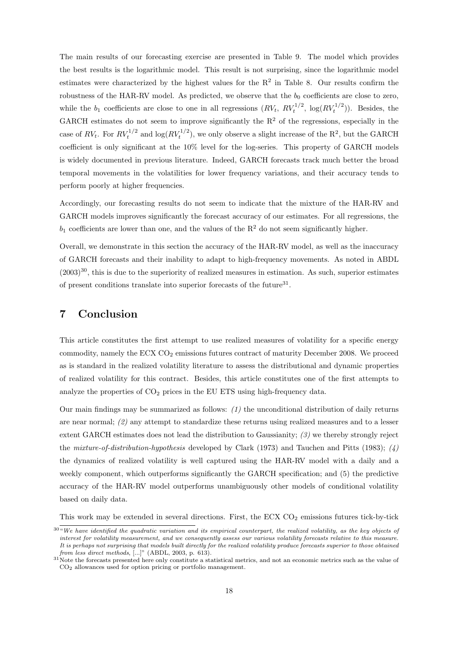The main results of our forecasting exercise are presented in Table 9. The model which provides the best results is the logarithmic model. This result is not surprising, since the logarithmic model estimates were characterized by the highest values for the  $R^2$  in Table 8. Our results confirm the robustness of the HAR-RV model. As predicted, we observe that the  $b_0$  coefficients are close to zero, while the  $b_1$  coefficients are close to one in all regressions  $(RV_t, RV_t^{1/2}, \log(RV_t^{1/2}))$ . Besides, the GARCH estimates do not seem to improve significantly the  $R<sup>2</sup>$  of the regressions, especially in the case of  $RV_t$ . For  $RV_t^{1/2}$  and  $\log(RV_t^{1/2})$ , we only observe a slight increase of the R<sup>2</sup>, but the GARCH coefficient is only significant at the 10% level for the log-series. This property of GARCH models is widely documented in previous literature. Indeed, GARCH forecasts track much better the broad temporal movements in the volatilities for lower frequency variations, and their accuracy tends to perform poorly at higher frequencies.

Accordingly, our forecasting results do not seem to indicate that the mixture of the HAR-RV and GARCH models improves significantly the forecast accuracy of our estimates. For all regressions, the  $b_1$  coefficients are lower than one, and the values of the  $R^2$  do not seem significantly higher.

Overall, we demonstrate in this section the accuracy of the HAR-RV model, as well as the inaccuracy of GARCH forecasts and their inability to adapt to high-frequency movements. As noted in ABDL  $(2003)^{30}$ , this is due to the superiority of realized measures in estimation. As such, superior estimates of present conditions translate into superior forecasts of the future<sup>31</sup>.

## 7 Conclusion

This article constitutes the first attempt to use realized measures of volatility for a specific energy commodity, namely the ECX  $CO<sub>2</sub>$  emissions futures contract of maturity December 2008. We proceed as is standard in the realized volatility literature to assess the distributional and dynamic properties of realized volatility for this contract. Besides, this article constitutes one of the first attempts to analyze the properties of  $CO<sub>2</sub>$  prices in the EU ETS using high-frequency data.

Our main findings may be summarized as follows:  $(1)$  the unconditional distribution of daily returns are near normal;  $(2)$  any attempt to standardize these returns using realized measures and to a lesser extent GARCH estimates does not lead the distribution to Gaussianity;  $\langle 3 \rangle$  we thereby strongly reject the *mixture-of-distribution-hypothesis* developed by Clark (1973) and Tauchen and Pitts (1983);  $(4)$ the dynamics of realized volatility is well captured using the HAR-RV model with a daily and a weekly component, which outperforms significantly the GARCH specification; and (5) the predictive accuracy of the HAR-RV model outperforms unambiguously other models of conditional volatility based on daily data.

This work may be extended in several directions. First, the ECX  $CO<sub>2</sub>$  emissions futures tick-by-tick

<sup>30</sup>"*We have identified the quadratic variation and its empirical counterpart, the realized volatility, as the key objects of interest for volatility measurement, and we consequently assess our various volatility forecasts relative to this measure. It is perhaps not surprising that models built directly for the realized volatility produce forecasts superior to those obtained from less direct methods*, [...]" (ABDL, 2003, p. 613).

 $31$ Note the forecasts presented here only constitute a statistical metrics, and not an economic metrics such as the value of CO2 allowances used for option pricing or portfolio management.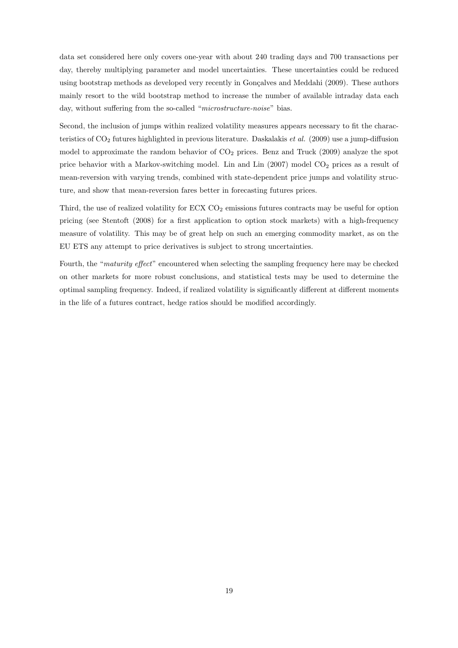data set considered here only covers one-year with about 240 trading days and 700 transactions per day, thereby multiplying parameter and model uncertainties. These uncertainties could be reduced using bootstrap methods as developed very recently in Gonçalves and Meddahi (2009). These authors mainly resort to the wild bootstrap method to increase the number of available intraday data each day, without suffering from the so-called "microstructure-noise" bias.

Second, the inclusion of jumps within realized volatility measures appears necessary to fit the characteristics of  $CO<sub>2</sub>$  futures highlighted in previous literature. Daskalakis *et al.* (2009) use a jump-diffusion model to approximate the random behavior of  $CO<sub>2</sub>$  prices. Benz and Truck (2009) analyze the spot price behavior with a Markov-switching model. Lin and Lin  $(2007)$  model  $CO<sub>2</sub>$  prices as a result of mean-reversion with varying trends, combined with state-dependent price jumps and volatility structure, and show that mean-reversion fares better in forecasting futures prices.

Third, the use of realized volatility for  $ECX CO<sub>2</sub>$  emissions futures contracts may be useful for option pricing (see Stentoft (2008) for a first application to option stock markets) with a high-frequency measure of volatility. This may be of great help on such an emerging commodity market, as on the EU ETS any attempt to price derivatives is subject to strong uncertainties.

Fourth, the "maturity effect" encountered when selecting the sampling frequency here may be checked on other markets for more robust conclusions, and statistical tests may be used to determine the optimal sampling frequency. Indeed, if realized volatility is significantly different at different moments in the life of a futures contract, hedge ratios should be modified accordingly.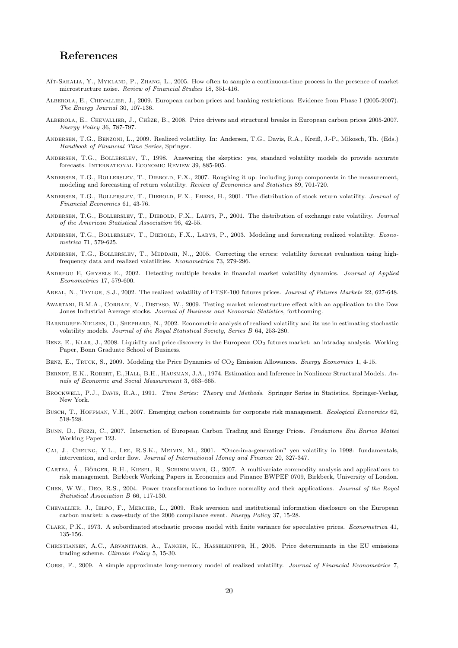## References

- AÏT-SAHALIA, Y., MYKLAND, P., ZHANG, L., 2005. How often to sample a continuous-time process in the presence of market microstructure noise. *Review of Financial Studies* 18, 351-416.
- Alberola, E., Chevallier, J., 2009. European carbon prices and banking restrictions: Evidence from Phase I (2005-2007). *The Energy Journal* 30, 107-136.
- ALBEROLA, E., CHEVALLIER, J., CHÈZE, B., 2008. Price drivers and structural breaks in European carbon prices 2005-2007. *Energy Policy* 36, 787-797.
- Andersen, T.G., Benzoni, L., 2009. Realized volatility. In: Andersen, T.G., Davis, R.A., Kreiß, J.-P., Mikosch, Th. (Eds.) *Handbook of Financial Time Series*, Springer.
- Andersen, T.G., Bollerslev, T., 1998. Answering the skeptics: yes, standard volatility models do provide accurate forecasts. International Economic Review 39, 885-905.
- Andersen, T.G., Bollerslev, T., Diebold, F.X., 2007. Roughing it up: including jump components in the measurement, modeling and forecasting of return volatility. *Review of Economics and Statistics* 89, 701-720.
- Andersen, T.G., Bollerslev, T., Diebold, F.X., Ebens, H., 2001. The distribution of stock return volatility. *Journal of Financial Economics* 61, 43-76.
- Andersen, T.G., Bollerslev, T., Diebold, F.X., Labys, P., 2001. The distribution of exchange rate volatility. *Journal of the American Statistical Association* 96, 42-55.
- Andersen, T.G., Bollerslev, T., Diebold, F.X., Labys, P., 2003. Modeling and forecasting realized volatility. *Econometrica* 71, 579-625.
- ANDERSEN, T.G., BOLLERSLEV, T., MEDDAHI, N.,, 2005. Correcting the errors: volatility forecast evaluation using highfrequency data and realized volatilities. *Econometrica* 73, 279-296.
- Andreou E, Ghysels E., 2002. Detecting multiple breaks in financial market volatility dynamics. *Journal of Applied Econometrics* 17, 579-600.
- Areal, N., Taylor, S.J., 2002. The realized volatility of FTSE-100 futures prices. *Journal of Futures Markets* 22, 627-648.
- Awartani, B.M.A., Corradi, V., Distaso, W., 2009. Testing market microstructure effect with an application to the Dow Jones Industrial Average stocks. *Journal of Business and Economic Statistics*, forthcoming.
- BARNDORFF-NIELSEN, O., SHEPHARD, N., 2002. Econometric analysis of realized volatility and its use in estimating stochastic volatility models. *Journal of the Royal Statistical Society, Series B* 64, 253-280.
- BENZ, E., KLAR, J., 2008. Liquidity and price discovery in the European CO<sub>2</sub> futures market: an intraday analysis. Working Paper, Bonn Graduate School of Business.
- Benz, E., Truck, S., 2009. Modeling the Price Dynamics of CO2 Emission Allowances. *Energy Economics* 1, 4-15.
- BERNDT, E.K., ROBERT, E.,HALL, B.H., HAUSMAN, J.A., 1974. Estimation and Inference in Nonlinear Structural Models. An*nals of Economic and Social Measurement* 3, 653–665.
- Brockwell, P.J., Davis, R.A., 1991. *Time Series: Theory and Methods*. Springer Series in Statistics, Springer-Verlag, New York.
- Busch, T., Hoffman, V.H., 2007. Emerging carbon constraints for corporate risk management. *Ecological Economics* 62, 518-528.
- Bunn, D., Fezzi, C., 2007. Interaction of European Carbon Trading and Energy Prices. *Fondazione Eni Enrico Mattei* Working Paper 123.
- Cai, J., Cheung, Y.L., Lee, R.S.K., Melvin, M., 2001. "Once-in-a-generation" yen volatility in 1998: fundamentals, intervention, and order flow. *Journal of International Money and Finance* 20, 327-347.
- CARTEA,  $\acute{A}$ ., BÖRGER, R.H., KIESEL, R., SCHINDLMAYR, G., 2007. A multivariate commodity analysis and applications to risk management. Birkbeck Working Papers in Economics and Finance BWPEF 0709, Birkbeck, University of London.
- Chen, W.W., Deo, R.S., 2004. Power transformations to induce normality and their applications. *Journal of the Royal Statistical Association B* 66, 117-130.
- Chevallier, J., Ielpo, F., Mercier, L., 2009. Risk aversion and institutional information disclosure on the European carbon market: a case-study of the 2006 compliance event. *Energy Policy* 37, 15-28.
- Clark, P.K., 1973. A subordinated stochastic process model with finite variance for speculative prices. *Econometrica* 41, 135-156.
- Christiansen, A.C., Arvanitakis, A., Tangen, K., Hasselknippe, H., 2005. Price determinants in the EU emissions trading scheme. *Climate Policy* 5, 15-30.
- Corsi, F., 2009. A simple approximate long-memory model of realized volatility. *Journal of Financial Econometrics* 7,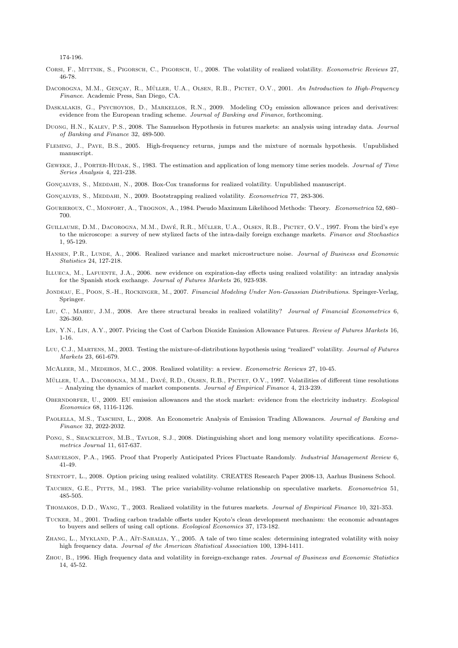174-196.

- Corsi, F., Mittnik, S., Pigorsch, C., Pigorsch, U., 2008. The volatility of realized volatility. *Econometric Reviews* 27, 46-78.
- DACOROGNA, M.M., GENÇAY, R., MÜLLER, U.A., OLSEN, R.B., PICTET, O.V., 2001. *An Introduction to High-Frequency Finance*. Academic Press, San Diego, CA.
- DASKALAKIS, G., PSYCHOYIOS, D., MARKELLOS, R.N., 2009. Modeling CO<sub>2</sub> emission allowance prices and derivatives: evidence from the European trading scheme. *Journal of Banking and Finance*, forthcoming.
- Duong, H.N., Kalev, P.S., 2008. The Samuelson Hypothesis in futures markets: an analysis using intraday data. *Journal of Banking and Finance* 32, 489-500.
- Fleming, J., Paye, B.S., 2005. High-frequency returns, jumps and the mixture of normals hypothesis. Unpublished manuscript.
- Geweke, J., Porter-Hudak, S., 1983. The estimation and application of long memory time series models. *Journal of Time Series Analysis* 4, 221-238.
- GONÇALVES, S., MEDDAHI, N., 2008. Box-Cox transforms for realized volatility. Unpublished manuscript.
- GONÇALVES, S., MEDDAHI, N., 2009. Bootstrapping realized volatility. *Econometrica* 77, 283-306.
- Gourieroux, C., Monfort, A., Trognon, A., 1984. Pseudo Maximum Likelihood Methods: Theory. *Econometrica* 52, 680– 700.
- GUILLAUME, D.M., DACOROGNA, M.M., DAVÉ, R.R., MÜLLER, U.A., OLSEN, R.B., PICTET, O.V., 1997. From the bird's eve to the microscope: a survey of new stylized facts of the intra-daily foreign exchange markets. *Finance and Stochastics* 1, 95-129.
- Hansen, P.R., Lunde, A., 2006. Realized variance and market microstructure noise. *Journal of Business and Economic Statistics* 24, 127-218.
- Illueca, M., Lafuente, J.A., 2006. new evidence on expiration-day effects using realized volatility: an intraday analysis for the Spanish stock exchange. *Journal of Futures Markets* 26, 923-938.
- Jondeau, E., Poon, S.-H., Rockinger, M., 2007. *Financial Modeling Under Non-Gaussian Distributions*. Springer-Verlag, Springer.
- Liu, C., Maheu, J.M., 2008. Are there structural breaks in realized volatility? *Journal of Financial Econometrics* 6, 326-360.
- Lin, Y.N., Lin, A.Y., 2007. Pricing the Cost of Carbon Dioxide Emission Allowance Futures. *Review of Futures Markets* 16, 1-16.
- Luu, C.J., Martens, M., 2003. Testing the mixture-of-distributions hypothesis using "realized" volatility. *Journal of Futures Markets* 23, 661-679.
- McAleer, M., Medeiros, M.C., 2008. Realized volatility: a review. *Econometric Reviews* 27, 10-45.
- MÜLLER, U.A., DACOROGNA, M.M., DAVÉ, R.D., OLSEN, R.B., PICTET, O.V., 1997. Volatilities of different time resolutions – Analyzing the dynamics of market components. *Journal of Empirical Finance* 4, 213-239.
- Oberndorfer, U., 2009. EU emission allowances and the stock market: evidence from the electricity industry. *Ecological Economics* 68, 1116-1126.
- Paolella, M.S., Taschini, L., 2008. An Econometric Analysis of Emission Trading Allowances. *Journal of Banking and Finance* 32, 2022-2032.
- PONG, S., SHACKLETON, M.B., TAYLOR, S.J., 2008. Distinguishing short and long memory volatility specifications. *Econometrics Journal* 11, 617-637.
- Samuelson, P.A., 1965. Proof that Properly Anticipated Prices Fluctuate Randomly. *Industrial Management Review* 6, 41-49.
- Stentoft, L., 2008. Option pricing using realized volatility. CREATES Research Paper 2008-13, Aarhus Business School.
- Tauchen, G.E., Pitts, M., 1983. The price variability-volume relationship on speculative markets. *Econometrica* 51, 485-505.
- Thomakos, D.D., Wang, T., 2003. Realized volatility in the futures markets. *Journal of Empirical Finance* 10, 321-353.
- Tucker, M., 2001. Trading carbon tradable offsets under Kyoto's clean development mechanism: the economic advantages to buyers and sellers of using call options. *Ecological Economics* 37, 173-182.
- ZHANG, L., MYKLAND, P.A., AÏT-SAHALIA, Y., 2005. A tale of two time scales: determining integrated volatility with noisy high frequency data. *Journal of the American Statistical Association* 100, 1394-1411.
- Zhou, B., 1996. High frequency data and volatility in foreign-exchange rates. *Journal of Business and Economic Statistics* 14, 45-52.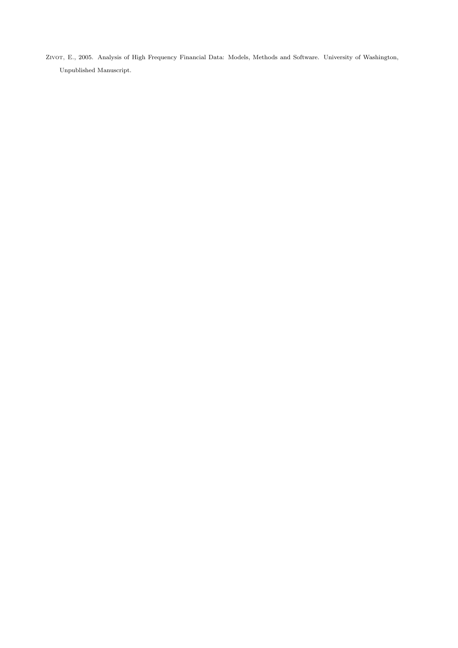ZIVOT, E., 2005. Analysis of High Frequency Financial Data: Models, Methods and Software. University of Washington, Unpublished Manuscript.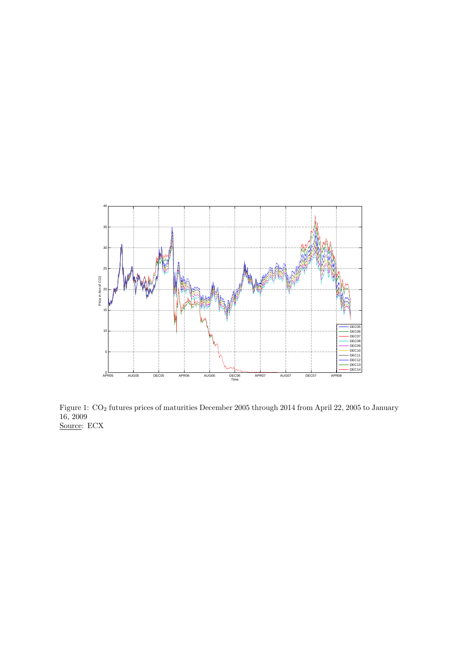

Figure 1: CO<sup>2</sup> futures prices of maturities December 2005 through 2014 from April 22, 2005 to January 16, 2009 Source: ECX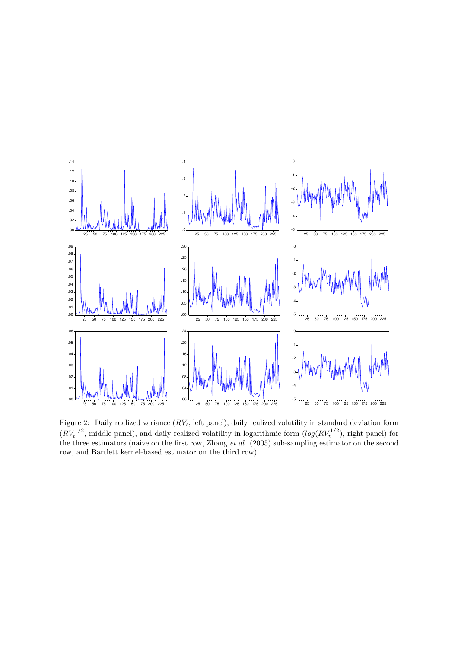

Figure 2: Daily realized variance  $(RV_t)$ , left panel), daily realized volatility in standard deviation form  $(RV_t^{1/2}$ , middle panel), and daily realized volatility in logarithmic form  $(log(RV_t^{1/2})$ , right panel) for the three estimators (naive on the first row, Zhang *et al.* (2005) sub-sampling estimator on the second row, and Bartlett kernel-based estimator on the third row).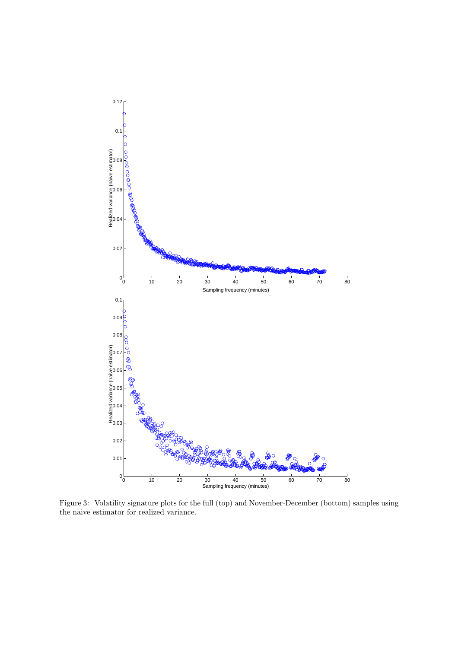

Figure 3: Volatility signature plots for the full (top) and November-December (bottom) samples using the naive estimator for realized variance.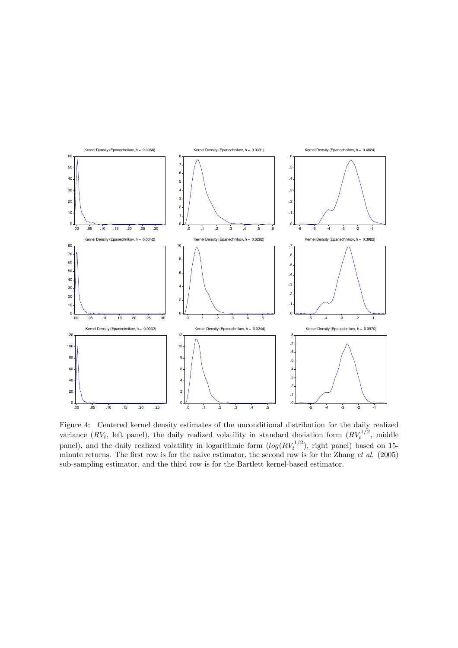

Figure 4: Centered kernel density estimates of the unconditional distribution for the daily realized variance  $(RV_t)$ , left panel), the daily realized volatility in standard deviation form  $(RV_t^{1/2}, \text{ middle})$ panel), and the daily realized volatility in logarithmic form  $(log(RV_t^{1/2})$ , right panel) based on 15minute returns. The first row is for the naive estimator, the second row is for the Zhang et al. (2005) sub-sampling estimator, and the third row is for the Bartlett kernel-based estimator.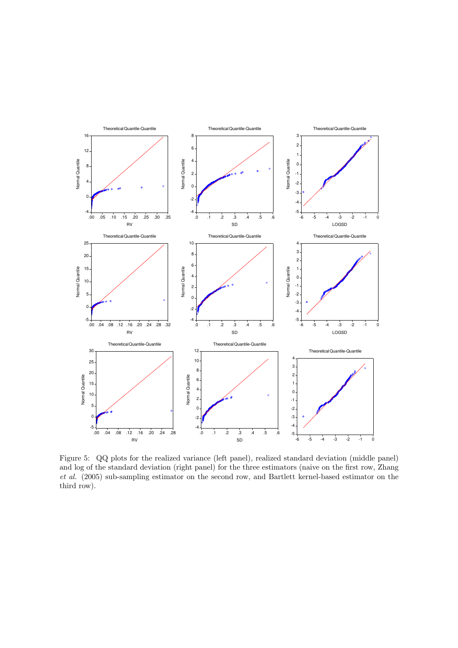

Figure 5: QQ plots for the realized variance (left panel), realized standard deviation (middle panel) and log of the standard deviation (right panel) for the three estimators (naive on the first row, Zhang et al. (2005) sub-sampling estimator on the second row, and Bartlett kernel-based estimator on the third row).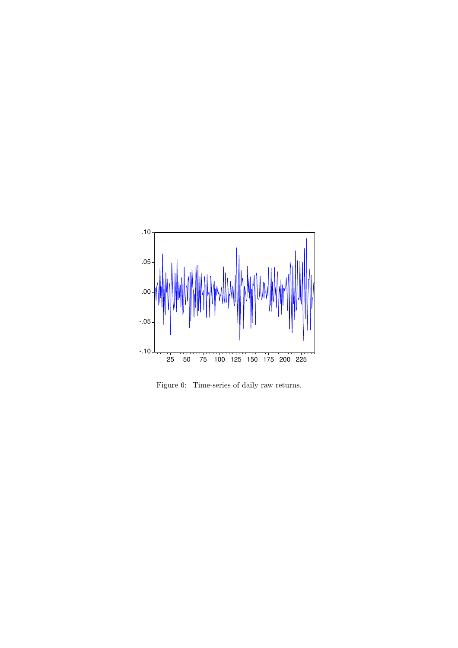

Figure 6: Time-series of daily raw returns.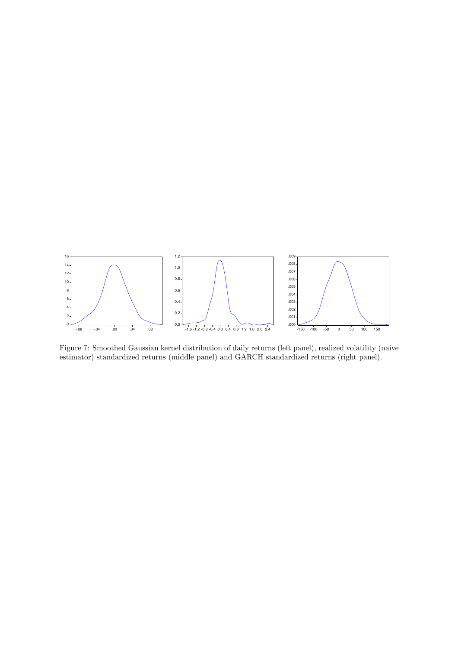

Figure 7: Smoothed Gaussian kernel distribution of daily returns (left panel), realized volatility (naive estimator) standardized returns (middle panel) and GARCH standardized returns (right panel).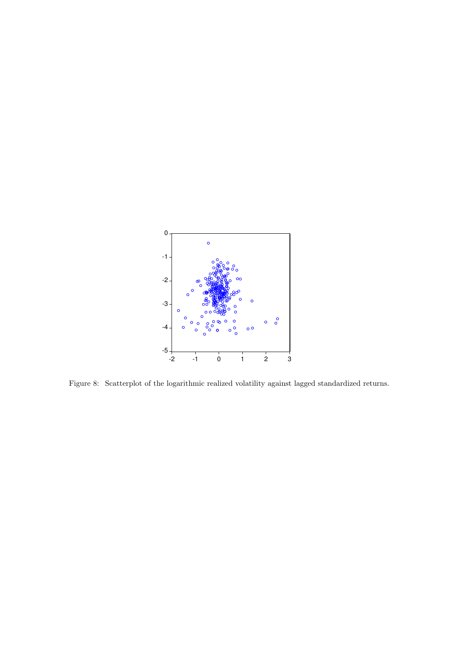

Figure 8: Scatterplot of the logarithmic realized volatility against lagged standardized returns.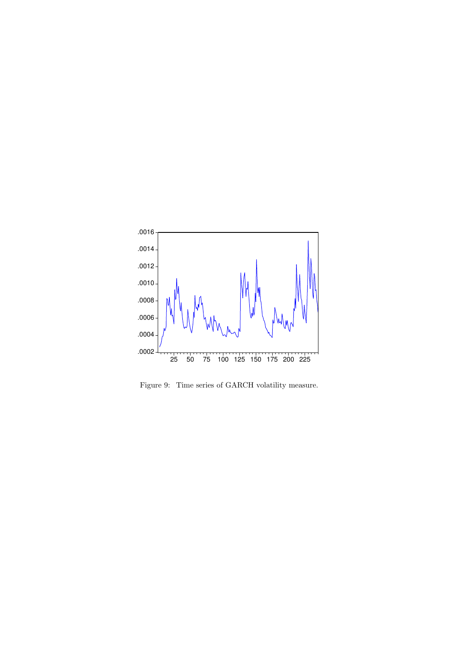

Figure 9: Time series of GARCH volatility measure.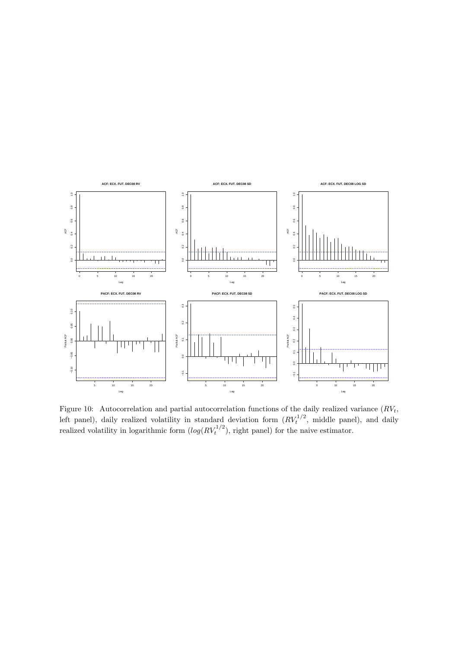

Figure 10: Autocorrelation and partial autocorrelation functions of the daily realized variance  $(RV_t,$ left panel), daily realized volatility in standard deviation form  $(RV_t^{1/2}$ , middle panel), and daily realized volatility in logarithmic form  $(log(RV_t^{1/2})$ , right panel) for the naive estimator.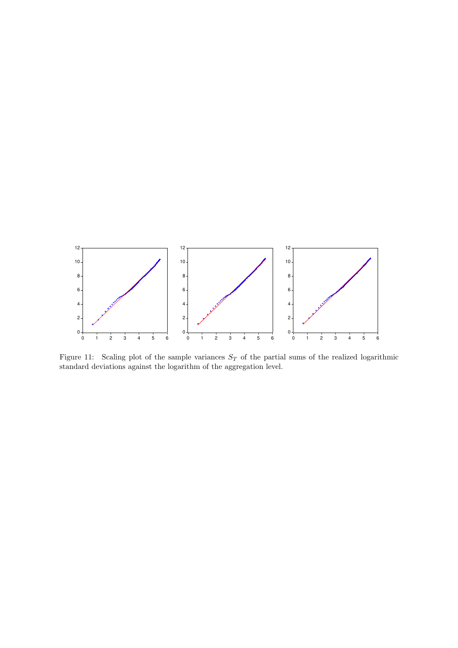

Figure 11: Scaling plot of the sample variances  $S_T$  of the partial sums of the realized logarithmic standard deviations against the logarithm of the aggregation level.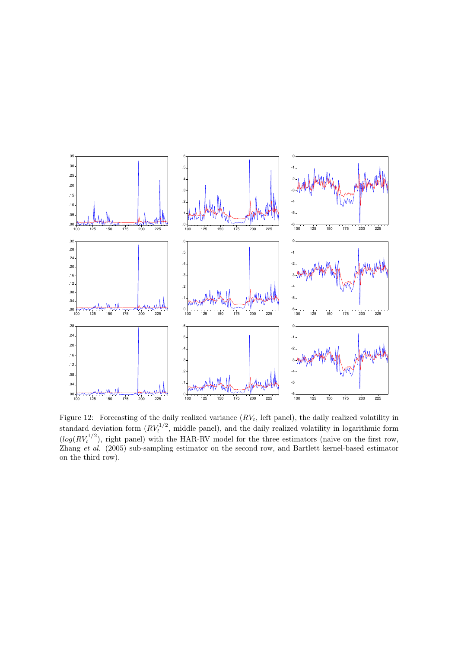

Figure 12: Forecasting of the daily realized variance  $(RV_t)$ , left panel), the daily realized volatility in standard deviation form  $(RV_t^{1/2}$ , middle panel), and the daily realized volatility in logarithmic form  $(log(RV_t^{1/2})$ , right panel) with the HAR-RV model for the three estimators (naive on the first row, Zhang et al. (2005) sub-sampling estimator on the second row, and Bartlett kernel-based estimator on the third row).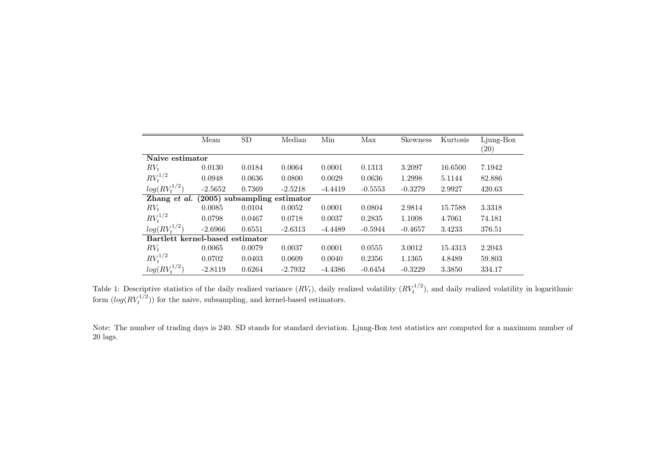|                                 | Mean      | SD                             | Median    | Min       | Max       | <b>Skewness</b> | Kurtosis | Ljung-Box<br>$\left( 20\right)$ |  |  |  |
|---------------------------------|-----------|--------------------------------|-----------|-----------|-----------|-----------------|----------|---------------------------------|--|--|--|
| Naive estimator                 |           |                                |           |           |           |                 |          |                                 |  |  |  |
| $RV_t$                          | 0.0130    | 0.0184                         | 0.0064    | 0.0001    | 0.1313    | 3.2097          | 16.6500  | 7.1942                          |  |  |  |
| $RV_t^{1/2}$                    | 0.0948    | 0.0636                         | 0.0800    | 0.0029    | 0.0636    | 1.2998          | 5.1144   | 82.886                          |  |  |  |
| $log(RV^{1/2}_*)$               | $-2.5652$ | 0.7369                         | $-2.5218$ | $-4.4419$ | $-0.5553$ | $-0.3279$       | 2.9927   | 420.63                          |  |  |  |
| Zhang et al.                    |           | $(2005)$ subsampling estimator |           |           |           |                 |          |                                 |  |  |  |
| $RV_t$                          | 0.0085    | 0.0104                         | 0.0052    | 0.0001    | 0.0804    | 2.9814          | 15.7588  | 3.3318                          |  |  |  |
| $RV_t^{1/2}$                    | 0.0798    | 0.0467                         | 0.0718    | 0.0037    | 0.2835    | 1.1008          | 4.7061   | 74.181                          |  |  |  |
| $log(RV^{1/2}_*)$               | $-2.6966$ | 0.6551                         | $-2.6313$ | $-4.4489$ | $-0.5944$ | $-0.4657$       | 3.4233   | 376.51                          |  |  |  |
| Bartlett kernel-based estimator |           |                                |           |           |           |                 |          |                                 |  |  |  |
| $RV_t$                          | 0.0065    | 0.0079                         | 0.0037    | 0.0001    | 0.0555    | 3.0012          | 15.4313  | 2.2043                          |  |  |  |
| $RV_t^{1/2}$                    | 0.0702    | 0.0403                         | 0.0609    | 0.0040    | 0.2356    | 1.1365          | 4.8489   | 59.803                          |  |  |  |
| $log(RV_t^{1/2})$               | $-2.8119$ | 0.6264                         | $-2.7932$ | $-4.4386$ | $-0.6454$ | $-0.3229$       | 3.3850   | 334.17                          |  |  |  |

Table 1: Descriptive statistics of the daily realized variance  $(RV_t)$ , daily realized volatility  $(RV_t)$  $t_t^{1/2}$ , and daily realized volatility in logarithmic form  $(log(RV_t$  $(t_t^{1/2})$ ) for the naive, subsampling, and kernel-based estimators.

Note: The number of trading days is 240. SD stands for standard deviation. Ljung-Box test statistics are computed for <sup>a</sup> maximum number of <sup>20</sup> lags.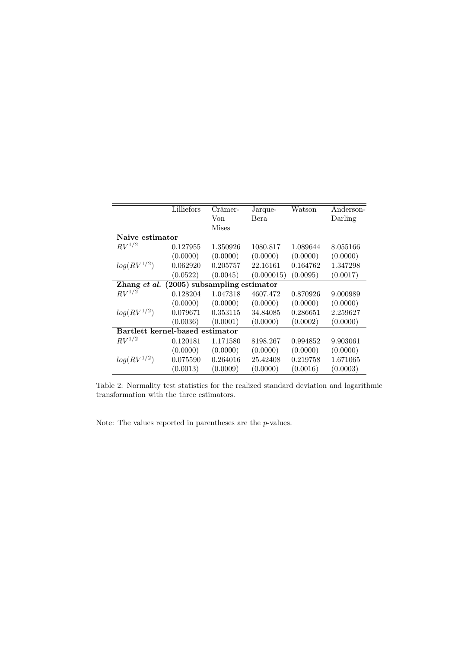|                                             | Lilliefors | Crámer-      | Jarque-     | Watson   | Anderson- |
|---------------------------------------------|------------|--------------|-------------|----------|-----------|
|                                             |            | Von          | <b>Bera</b> |          | Darling   |
|                                             |            | <b>Mises</b> |             |          |           |
| Naive estimator                             |            |              |             |          |           |
| $RV^{1/2}$                                  | 0.127955   | 1.350926     | 1080.817    | 1.089644 | 8.055166  |
|                                             | (0.0000)   | (0.0000)     | (0.0000)    | (0.0000) | (0.0000)  |
| $log(RV^{1/2})$                             | 0.062920   | 0.205757     | 22.16161    | 0.164762 | 1.347298  |
|                                             | (0.0522)   | (0.0045)     | (0.000015)  | (0.0095) | (0.0017)  |
| Zhang et al. $(2005)$ subsampling estimator |            |              |             |          |           |
| $RV^{1/2}$                                  | 0.128204   | 1.047318     | 4607.472    | 0.870926 | 9.000989  |
|                                             | (0.0000)   | (0.0000)     | (0.0000)    | (0.0000) | (0.0000)  |
| $log(RV^{1/2})$                             | 0.079671   | 0.353115     | 34.84085    | 0.286651 | 2.259627  |
|                                             | (0.0036)   | (0.0001)     | (0.0000)    | (0.0002) | (0.0000)  |
| Bartlett kernel-based estimator             |            |              |             |          |           |
| $RV^{1/2}$                                  | 0.120181   | 1.171580     | 8198.267    | 0.994852 | 9.903061  |
|                                             | (0.0000)   | (0.0000)     | (0.0000)    | (0.0000) | (0.0000)  |
| $log(RV^{1/2})$                             | 0.075590   | 0.264016     | 25.42408    | 0.219758 | 1.671065  |
|                                             | (0.0013)   | (0.0009)     | (0.0000)    | (0.0016) | (0.0003)  |

Table 2: Normality test statistics for the realized standard deviation and logarithmic transformation with the three estimators.

Note: The values reported in parentheses are the  $p$ -values.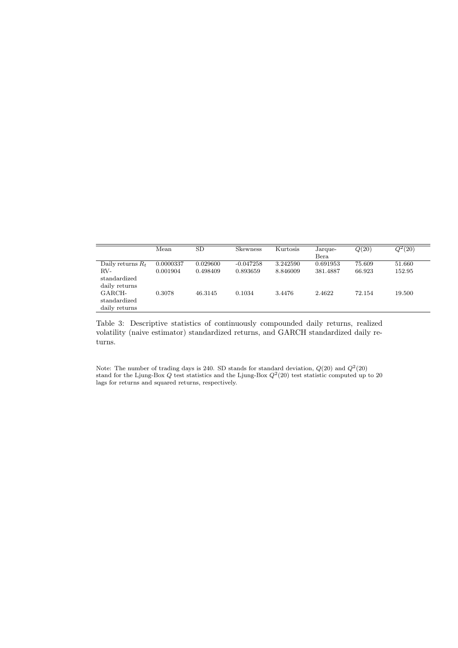|                                         | Mean      | <b>SD</b> | Skewness    | <b>Kurtosis</b> | Jarque-<br>Bera | Q(20)  | $Q^2(20)$ |
|-----------------------------------------|-----------|-----------|-------------|-----------------|-----------------|--------|-----------|
| Daily returns $R_t$                     | 0.0000337 | 0.029600  | $-0.047258$ | 3.242590        | 0.691953        | 75.609 | 51.660    |
| RV-<br>standardized<br>daily returns    | 0.001904  | 0.498409  | 0.893659    | 8.846009        | 381.4887        | 66.923 | 152.95    |
| GARCH-<br>standardized<br>daily returns | 0.3078    | 46.3145   | 0.1034      | 3.4476          | 2.4622          | 72.154 | 19.500    |

Table 3: Descriptive statistics of continuously compounded daily returns, realized volatility (naive estimator) standardized returns, and GARCH standardized daily returns.

Note: The number of trading days is 240. SD stands for standard deviation,  $Q(20)$  and  $Q^2(20)$ stand for the Ljung-Box  $Q$  test statistics and the Ljung-Box  $Q^2(20)$  test statistic computed up to 20 lags for returns and squared returns, respectively.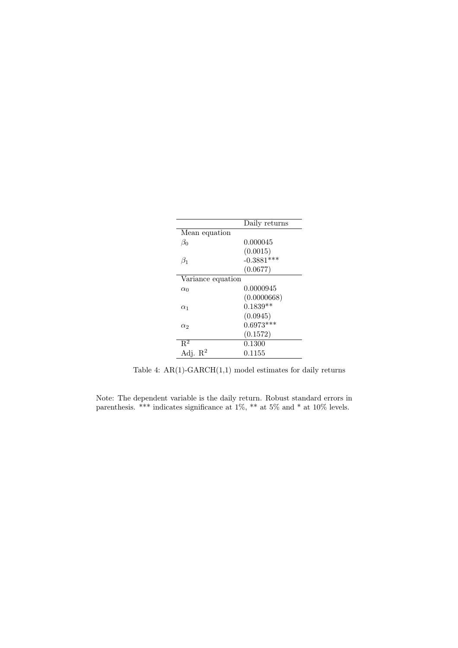|                     | Daily returns |
|---------------------|---------------|
| Mean equation       |               |
| $\beta_0$           | 0.000045      |
|                     | (0.0015)      |
| $\beta_1$           | $-0.3881***$  |
|                     | (0.0677)      |
| Variance equation   |               |
| $\alpha_0$          | 0.0000945     |
|                     | (0.0000668)   |
| $\alpha_1$          | $0.1839**$    |
|                     | (0.0945)      |
| $\alpha_2$          | $0.6973***$   |
|                     | (0.1572)      |
| $R^2$               | 0.1300        |
| Adj. $\mathbb{R}^2$ | 0.1155        |

Table 4:  $AR(1)-GARCH(1,1)$  model estimates for daily returns

Note: The dependent variable is the daily return. Robust standard errors in parenthesis. \*\*\* indicates significance at 1%, \*\* at 5% and \* at 10% levels.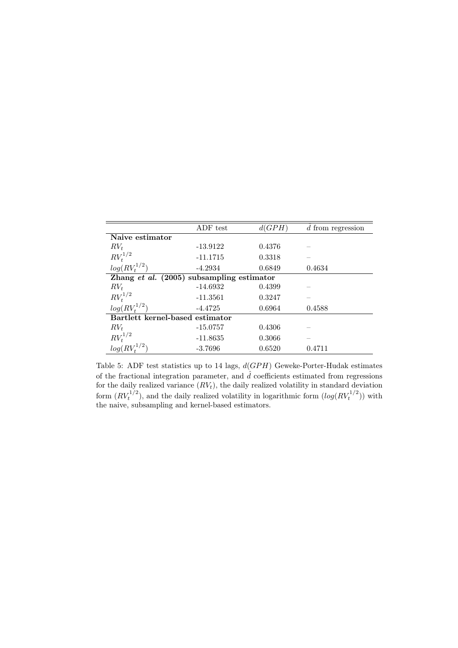|                                           | ADF test   | d(GPH) | $\bar{d}$ from regression |
|-------------------------------------------|------------|--------|---------------------------|
| Naive estimator                           |            |        |                           |
| $RV_t$                                    | $-13.9122$ | 0.4376 |                           |
| $RV_t^{1/2}$                              | $-11.1715$ | 0.3318 |                           |
| $log(RV_t^{1/2})$                         | $-4.2934$  | 0.6849 | 0.4634                    |
| Zhang et al. (2005) subsampling estimator |            |        |                           |
| $RV_t$                                    | $-14.6932$ | 0.4399 |                           |
| $RV_t^{1/2}$                              | $-11.3561$ | 0.3247 |                           |
| $log(RV_t^{1/2})$                         | $-4.4725$  | 0.6964 | 0.4588                    |
| Bartlett kernel-based estimator           |            |        |                           |
| $RV_t$                                    | $-15.0757$ | 0.4306 |                           |
| $RV_t^{1/2}$                              | $-11.8635$ | 0.3066 |                           |
| $log(RV_t^{1/2})$                         | $-3.7696$  | 0.6520 | 0.4711                    |

Table 5: ADF test statistics up to 14 lags, d(GPH) Geweke-Porter-Hudak estimates of the fractional integration parameter, and  $\hat{d}$  coefficients estimated from regressions for the daily realized variance  $(RV_t)$ , the daily realized volatility in standard deviation form  $(RV_t^{1/2})$ , and the daily realized volatility in logarithmic form  $(log(RV_t^{1/2}))$  with the naive, subsampling and kernel-based estimators.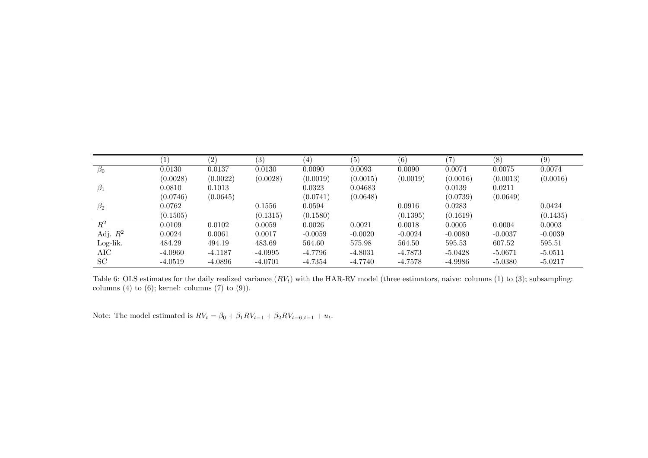|                      | $\left(1\right)$ | (2)       | (3)       | $\left( 4\right)$ | (5)       | (6)       | 7)        | (8)       | (9)       |
|----------------------|------------------|-----------|-----------|-------------------|-----------|-----------|-----------|-----------|-----------|
| $\overline{\beta_0}$ | 0.0130           | 0.0137    | 0.0130    | 0.0090            | 0.0093    | 0.0090    | 0.0074    | 0.0075    | 0.0074    |
|                      | (0.0028)         | (0.0022)  | (0.0028)  | (0.0019)          | (0.0015)  | (0.0019)  | (0.0016)  | (0.0013)  | (0.0016)  |
| $\beta_1$            | 0.0810           | 0.1013    |           | 0.0323            | 0.04683   |           | 0.0139    | 0.0211    |           |
|                      | (0.0746)         | (0.0645)  |           | (0.0741)          | (0.0648)  |           | (0.0739)  | (0.0649)  |           |
| $\beta_2$            | 0.0762           |           | 0.1556    | 0.0594            |           | 0.0916    | 0.0283    |           | 0.0424    |
|                      | (0.1505)         |           | (0.1315)  | (0.1580)          |           | (0.1395)  | (0.1619)  |           | (0.1435)  |
| $\overline{R^2}$     | 0.0109           | 0.0102    | 0.0059    | 0.0026            | 0.0021    | 0.0018    | 0.0005    | 0.0004    | 0.0003    |
| Adj. $R^2$           | 0.0024           | 0.0061    | 0.0017    | $-0.0059$         | $-0.0020$ | $-0.0024$ | $-0.0080$ | $-0.0037$ | $-0.0039$ |
| Log-lik.             | 484.29           | 494.19    | 483.69    | 564.60            | 575.98    | 564.50    | 595.53    | 607.52    | 595.51    |
| AIC                  | $-4.0960$        | $-4.1187$ | $-4.0995$ | $-4.7796$         | $-4.8031$ | $-4.7873$ | $-5.0428$ | $-5.0671$ | $-5.0511$ |
| <b>SC</b>            | $-4.0519$        | $-4.0896$ | $-4.0701$ | $-4.7354$         | $-4.7740$ | $-4.7578$ | $-4.9986$ | $-5.0380$ | $-5.0217$ |

Table 6: OLS estimates for the daily realized variance  $(RV_t)$  with the HAR-RV model (three estimators, naive: columns (1) to (3); subsampling: columns  $(4)$  to  $(6)$ ; kernel: columns  $(7)$  to  $(9)$ ).

Note: The model estimated is  $RV_t = \beta_0 + \beta_1 RV_{t-1} + \beta_2 RV_{t-6,t-1} + u_t$ .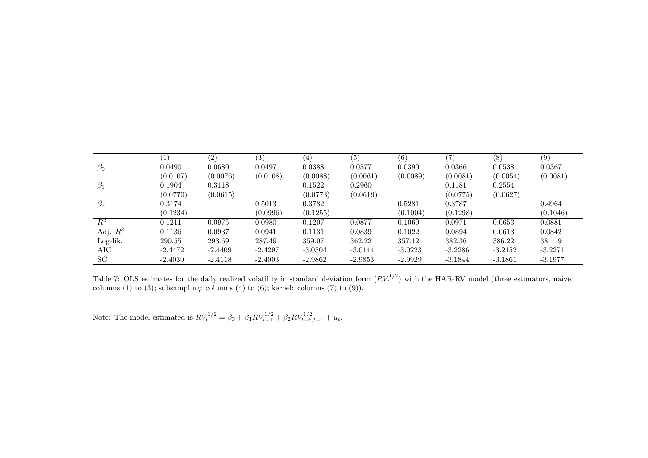|                  |           | $\left( 2\right)$ | (3)       | $\left(4\right)$ | (5)       | (6)       | '7)       | (8)       | (9)       |
|------------------|-----------|-------------------|-----------|------------------|-----------|-----------|-----------|-----------|-----------|
| $\beta_0$        | 0.0490    | 0.0680            | 0.0497    | 0.0388           | 0.0577    | 0.0390    | 0.0366    | 0.0538    | 0.0367    |
|                  | (0.0107)  | (0.0076)          | (0.0108)  | (0.0088)         | (0.0061)  | (0.0089)  | (0.0081)  | (0.0054)  | (0.0081)  |
| $\beta_1$        | 0.1904    | 0.3118            |           | 0.1522           | 0.2960    |           | 0.1181    | 0.2554    |           |
|                  | (0.0770)  | (0.0615)          |           | (0.0773)         | (0.0619)  |           | (0.0775)  | (0.0627)  |           |
| $\beta_2$        | 0.3174    |                   | 0.5013    | 0.3782           |           | 0.5281    | 0.3787    |           | 0.4964    |
|                  | (0.1234)  |                   | (0.0996)  | (0.1255)         |           | (0.1004)  | (0.1298)  |           | (0.1046)  |
| $\overline{R^2}$ | 0.1211    | 0.0975            | 0.0980    | 0.1207           | 0.0877    | 0.1060    | 0.0971    | 0.0653    | 0.0881    |
| Adj. $R^2$       | 0.1136    | 0.0937            | 0.0941    | 0.1131           | 0.0839    | 0.1022    | 0.0894    | 0.0613    | 0.0842    |
| Log-lik.         | 290.55    | 293.69            | 287.49    | 359.07           | 362.22    | 357.12    | 382.36    | 386.22    | 381.19    |
| AIC              | $-2.4472$ | $-2.4409$         | $-2.4297$ | $-3.0304$        | $-3.0144$ | $-3.0223$ | $-3.2286$ | $-3.2152$ | $-3.2271$ |
| SC               | $-2.4030$ | $-2.4118$         | $-2.4003$ | $-2.9862$        | $-2.9853$ | $-2.9929$ | $-3.1844$ | $-3.1861$ | $-3.1977$ |

Table 7: OLS estimates for the daily realized volatility in standard deviation form  $(RV_t)$  $(t_t^{1/2})$  with the HAR-RV model (three estimators, naive: columns (1) to (3); subsampling: columns (4) to (6); kernel: columns (7) to (9)).

Note: The model estimated is  $RV_t^{1/2} = \beta_0 + \beta_1 RV_{t-1}^{1/2} + \beta_2 RV_{t-6,t-1}^{1/2} + u_t$ .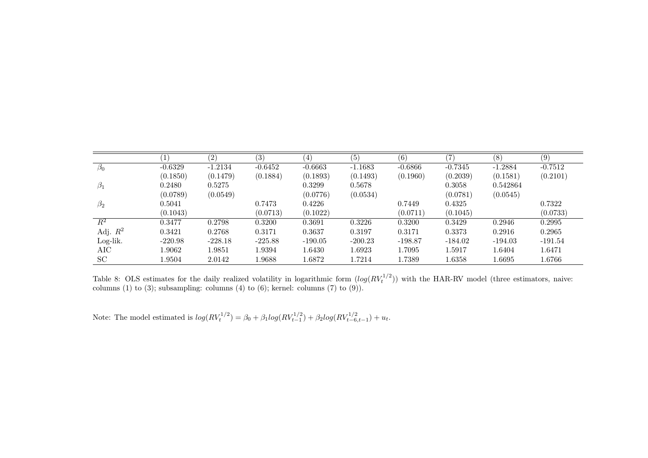|                  |           | (2)       | $\overline{(3)}$ | $\left(4\right)$ | (5)       | (6)       | 7         | (8)       | (9)       |
|------------------|-----------|-----------|------------------|------------------|-----------|-----------|-----------|-----------|-----------|
| $\beta_0$        | $-0.6329$ | $-1.2134$ | $-0.6452$        | $-0.6663$        | $-1.1683$ | $-0.6866$ | $-0.7345$ | $-1.2884$ | $-0.7512$ |
|                  | (0.1850)  | (0.1479)  | (0.1884)         | (0.1893)         | (0.1493)  | (0.1960)  | (0.2039)  | (0.1581)  | (0.2101)  |
| $\beta_1$        | 0.2480    | 0.5275    |                  | 0.3299           | 0.5678    |           | 0.3058    | 0.542864  |           |
|                  | (0.0789)  | (0.0549)  |                  | (0.0776)         | (0.0534)  |           | (0.0781)  | (0.0545)  |           |
| $\beta_2$        | 0.5041    |           | 0.7473           | 0.4226           |           | 0.7449    | 0.4325    |           | 0.7322    |
|                  | (0.1043)  |           | (0.0713)         | (0.1022)         |           | (0.0711)  | (0.1045)  |           | (0.0733)  |
| $\overline{R^2}$ | 0.3477    | 0.2798    | 0.3200           | 0.3691           | 0.3226    | 0.3200    | 0.3429    | 0.2946    | 0.2995    |
| Adj. $R^2$       | 0.3421    | 0.2768    | 0.3171           | 0.3637           | 0.3197    | 0.3171    | 0.3373    | 0.2916    | 0.2965    |
| Log-lik.         | $-220.98$ | $-228.18$ | $-225.88$        | $-190.05$        | $-200.23$ | $-198.87$ | $-184.02$ | $-194.03$ | $-191.54$ |
| AIC              | 1.9062    | 1.9851    | 1.9394           | 1.6430           | 1.6923    | 1.7095    | 1.5917    | 1.6404    | 1.6471    |
| <b>SC</b>        | 1.9504    | 2.0142    | 1.9688           | 1.6872           | 1.7214    | 1.7389    | 1.6358    | 1.6695    | 1.6766    |

Table 8: OLS estimates for the daily realized volatility in logarithmic form  $(log(RV_t))$  $(t_t^{1/2})$ ) with the HAR-RV model (three estimators, naive: columns (1) to (3); subsampling: columns (4) to (6); kernel: columns (7) to (9)).

Note: The model estimated is  $log(RV_t^{1/2}) = \beta_0 + \beta_1 log(RV_{t-1}^{1/2}) + \beta_2 log(RV_{t-6,t-1}^{1/2}) + u_t$ .